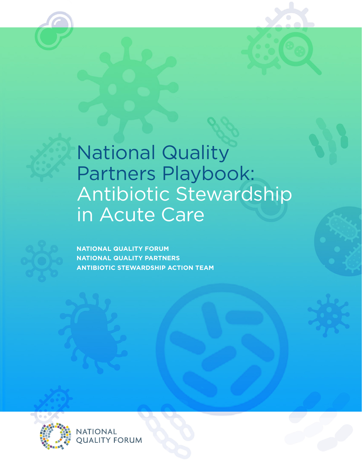# National Quality Partners Playbook: Antibiotic Stewardship in Acute Care



**NATIONAL QUALITY FORUM NATIONAL QUALITY PARTNERS ANTIBIOTIC STEWARDSHIP ACTION TEAM**



**NATIONAL OUALITY FORUM**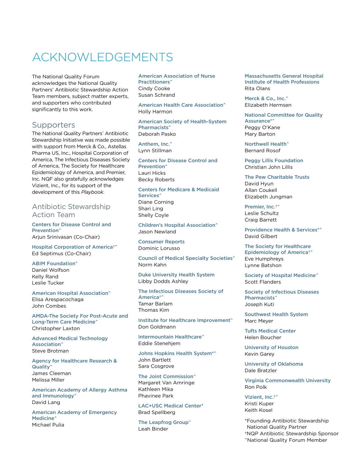## <span id="page-1-0"></span>ACKNOWLEDGEMENTS

The National Quality Forum acknowledges the National Quality Partners' Antibiotic Stewardship Action Team members, subject matter experts, and supporters who contributed significantly to this work.

### **Supporters**

The National Quality Partners' Antibiotic Stewardship Initiative was made possible with support from Merck & Co., Astellas Pharma US, Inc., Hospital Corporation of America, The Infectious Diseases Society of America, The Society for Healthcare Epidemiology of America, and Premier, Inc. NQF also gratefully acknowledges Vizient, Inc., for its support of the development of this *Playbook*.

#### Antibiotic Stewardship Action Team

Centers for Disease Control and Prevention^ Arjun Srinivasan (Co-Chair)

Hospital Corporation of America†^ Ed Septimus (Co-Chair)

#### **ABIM Foundation^** Daniel Wolfson

Kelly Rand Leslie Tucker

#### American Hospital Association^ Elisa Arespacochaga

John Combes

AMDA-The Society For Post-Acute and Long-Term Care Medicine^ Christopher Laxton

Advanced Medical Technology Association^ Steve Brotman

Agency for Healthcare Research & Quality^ James Cleeman Melissa Miller

American Academy of Allergy Asthma and Immunology^ David Lang

American Academy of Emergency Medicine<sup>^</sup> Michael Pulia

American Association of Nurse Practitioners^ Cindy Cooke Susan Schrand

American Health Care Association^ Holly Harmon

American Society of Health-System Pharmacists^ Deborah Pasko

Anthem, Inc.<sup>^</sup> Lynn Stillman

Centers for Disease Control and Prevention^ Lauri Hicks Becky Roberts

Centers for Medicare & Medicaid Services<sup>^</sup> Diane Corning Shari Ling Shelly Coyle

Children's Hospital Association^ Jason Newland

Consumer Reports Dominic Lorusso

Council of Medical Specialty Societies^ Norm Kahn

Duke University Health System Libby Dodds Ashley

The Infectious Diseases Society of America†^ Tamar Barlam Thomas Kim

Institute for Healthcare Improvement^ Don Goldmann

Intermountain Healthcare^ Eddie Stenehjem

Johns Hopkins Health System\*^ John Bartlett Sara Cosgrove

The Joint Commission<sup>^</sup> Margaret Van Amringe Kathleen Mika Phavinee Park

LAC+USC Medical Center\* Brad Spellberg

The Leapfrog Group^ Leah Binder

Massachusetts General Hospital Institute of Health Professions Rita Olans

Merck & Co., Inc.<sup>^</sup> Elizabeth Hermsen

National Committee for Quality Assurance\*^ Peggy O'Kane Mary Barton

Northwell Health^ Bernard Rosof

Peggy Lillis Foundation Christian John Lillis

The Pew Charitable Trusts David Hyun Allan Coukell Elizabeth Jungman

Premier, Inc.<sup>+^</sup> Leslie Schultz Craig Barrett

Providence Health & Services\*^ David Gilbert

The Society for Healthcare Epidemiology of America†^ Eve Humphreys Lynne Batshon

Society of Hospital Medicine^ Scott Flanders

Society of Infectious Diseases Pharmacists<sup>^</sup> Joseph Kuti

Southwest Health System Marc Meyer

Tufts Medical Center Helen Boucher

University of Houston Kevin Garey

University of Oklahoma Dale Bratzler

Virginia Commonwealth University Ron Polk

Vizient, Inc.†^ Kristi Kuper Keith Kosel

\*Founding Antibiotic Stewardship National Quality Partner †NQP Antibiotic Stewardship Sponsor ^National Quality Forum Member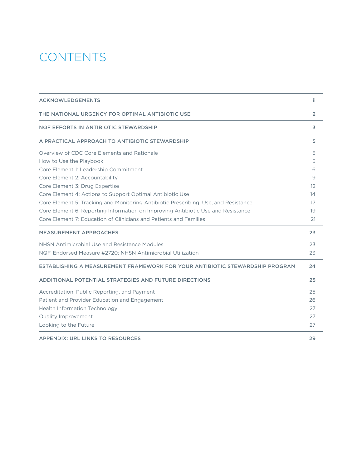## **CONTENTS**

| <b>ACKNOWLEDGEMENTS</b>                                                             | ii.            |
|-------------------------------------------------------------------------------------|----------------|
| THE NATIONAL URGENCY FOR OPTIMAL ANTIBIOTIC USE                                     | $\overline{2}$ |
| NQF EFFORTS IN ANTIBIOTIC STEWARDSHIP                                               | 3              |
| A PRACTICAL APPROACH TO ANTIBIOTIC STEWARDSHIP                                      | 5              |
| Overview of CDC Core Elements and Rationale                                         | 5              |
| How to Use the Playbook                                                             | 5              |
| Core Element 1: Leadership Commitment                                               | 6              |
| Core Element 2: Accountability                                                      | 9              |
| Core Element 3: Drug Expertise                                                      | 12             |
| Core Element 4: Actions to Support Optimal Antibiotic Use                           | 14             |
| Core Element 5: Tracking and Monitoring Antibiotic Prescribing, Use, and Resistance | 17             |
| Core Element 6: Reporting Information on Improving Antibiotic Use and Resistance    | 19             |
| Core Element 7: Education of Clinicians and Patients and Families                   | 21             |
| <b>MEASUREMENT APPROACHES</b>                                                       | 23             |
| NHSN Antimicrobial Use and Resistance Modules                                       | 23             |
| NQF-Endorsed Measure #2720: NHSN Antimicrobial Utilization                          | 23             |
| ESTABLISHING A MEASUREMENT FRAMEWORK FOR YOUR ANTIBIOTIC STEWARDSHIP PROGRAM        | 24             |
| ADDITIONAL POTENTIAL STRATEGIES AND FUTURE DIRECTIONS                               | 25             |
| Accreditation, Public Reporting, and Payment                                        | 25             |
| Patient and Provider Education and Engagement                                       | 26             |
| <b>Health Information Technology</b>                                                | 27             |
| <b>Quality Improvement</b>                                                          | 27             |
| Looking to the Future                                                               | 27             |
|                                                                                     |                |

[APPENDIX: URL LINKS TO RESOURCES](#page-30-0) 29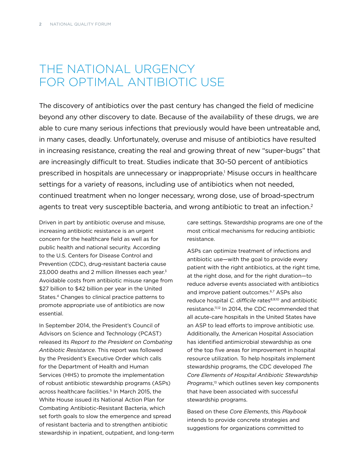## <span id="page-3-0"></span>THE NATIONAL URGENCY FOR OPTIMAL ANTIBIOTIC USE

The discovery of antibiotics over the past century has changed the field of medicine beyond any other discovery to date. Because of the availability of these drugs, we are able to cure many serious infections that previously would have been untreatable and, in many cases, deadly. Unfortunately, overuse and misuse of antibiotics have resulted in increasing resistance, creating the real and growing threat of new "super-bugs" that are increasingly difficult to treat. Studies indicate that 30-50 percent of antibiotics prescribed in hospitals are unnecessary or inappropriate.<sup>1</sup> Misuse occurs in healthcare settings for a variety of reasons, including use of antibiotics when not needed, continued treatment when no longer necessary, wrong dose, use of broad-spectrum agents to treat very susceptible bacteria, and wrong antibiotic to treat an infection.<sup>[2](#page-29-1)</sup>

Driven in part by antibiotic overuse and misuse, increasing antibiotic resistance is an urgent concern for the healthcare field as well as for public health and national security. According to the U.S. Centers for Disease Control and Prevention (CDC), drug-resistant bacteria cause 2[3](#page-29-2),000 deaths and 2 million illnesses each year.<sup>3</sup> Avoidable costs from antibiotic misuse range from \$27 billion to \$42 billion per year in the United States[.4](#page-29-3) Changes to clinical practice patterns to promote appropriate use of antibiotics are now essential.

In September 2014, the President's Council of Advisors on Science and Technology (PCAST) released its *Report to the President on Combating Antibiotic Resistance*. This report was followed by the President's Executive Order which calls for the Department of Health and Human Services (HHS) to promote the implementation of robust antibiotic stewardship programs (ASPs) across healthcare facilities.<sup>5</sup> In March 2015, the White House issued its National Action Plan for Combating Antibiotic-Resistant Bacteria, which set forth goals to slow the emergence and spread of resistant bacteria and to strengthen antibiotic stewardship in inpatient, outpatient, and long-term care settings. Stewardship programs are one of the most critical mechanisms for reducing antibiotic resistance.

ASPs can optimize treatment of infections and antibiotic use—with the goal to provide every patient with the right antibiotics, at the right time, at the right dose, and for the right duration—to reduce adverse events associated with antibiotics and improve patient outcomes.<sup>[6](#page-29-5)[,7](#page-29-6)</sup> ASPs also reduce hospital *C. difficile* rates<sup>[8](#page-29-7)[,9,](#page-29-8)[10](#page-29-9)</sup> and antibiotic resistance[.11](#page-29-10)[,12](#page-29-11) In 2014, the CDC recommended that all acute-care hospitals in the United States have an ASP to lead efforts to improve antibiotic use. Additionally, the American Hospital Association has identified antimicrobial stewardship as one of the top five areas for improvement in hospital resource utilization. To help hospitals implement stewardship programs, the CDC developed *The Core Elements of Hospital Antibiotic Stewardship Programs*, [13](#page-29-12) which outlines seven key components that have been associated with successful stewardship programs.

Based on these *Core Elements*, this *Playbook* intends to provide concrete strategies and suggestions for organizations committed to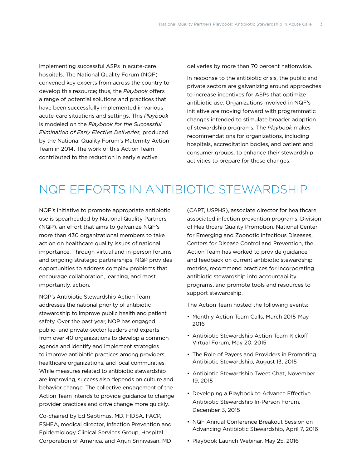<span id="page-4-0"></span>implementing successful ASPs in acute-care hospitals. The National Quality Forum (NQF) convened key experts from across the country to develop this resource; thus, the *Playbook* offers a range of potential solutions and practices that have been successfully implemented in various acute-care situations and settings. This *Playbook*  is modeled on the *Playbook for the Successful Elimination of Early Elective Deliveries,* produced by the National Quality Forum's Maternity Action Team in 2014. The work of this Action Team contributed to the reduction in early elective

deliveries by more than 70 percent nationwide.

In response to the antibiotic crisis, the public and private sectors are galvanizing around approaches to increase incentives for ASPs that optimize antibiotic use. Organizations involved in NQF's initiative are moving forward with programmatic changes intended to stimulate broader adoption of stewardship programs. The *Playbook* makes recommendations for organizations, including hospitals, accreditation bodies, and patient and consumer groups, to enhance their stewardship activities to prepare for these changes.

## NQF EFFORTS IN ANTIBIOTIC STEWARDSHIP

NQF's initiative to promote appropriate antibiotic use is spearheaded by National Quality Partners (NQP), an effort that aims to galvanize NQF's more than 430 organizational members to take action on healthcare quality issues of national importance. Through virtual and in-person forums and ongoing strategic partnerships, NQP provides opportunities to address complex problems that encourage collaboration, learning, and most importantly, action.

NQP's Antibiotic Stewardship Action Team addresses the national priority of antibiotic stewardship to improve public health and patient safety. Over the past year, NQP has engaged public- and private-sector leaders and experts from over 40 organizations to develop a common agenda and identify and implement strategies to improve antibiotic practices among providers, healthcare organizations, and local communities. While measures related to antibiotic stewardship are improving, success also depends on culture and behavior change. The collective engagement of the Action Team intends to provide guidance to change provider practices and drive change more quickly.

Co-chaired by Ed Septimus, MD, FIDSA, FACP, FSHEA, medical director, Infection Prevention and Epidemiology Clinical Services Group, Hospital Corporation of America, and Arjun Srinivasan, MD

(CAPT, USPHS), associate director for healthcare associated infection prevention programs, Division of Healthcare Quality Promotion, National Center for Emerging and Zoonotic Infectious Diseases, Centers for Disease Control and Prevention, the Action Team has worked to provide guidance and feedback on current antibiotic stewardship metrics, recommend practices for incorporating antibiotic stewardship into accountability programs, and promote tools and resources to support stewardship.

The Action Team hosted the following events:

- Monthly Action Team Calls, March 2015-May 2016
- Antibiotic Stewardship Action Team Kickoff Virtual Forum, May 20, 2015
- The Role of Payers and Providers in Promoting Antibiotic Stewardship, August 13, 2015
- Antibiotic Stewardship Tweet Chat, November 19, 2015
- Developing a Playbook to Advance Effective Antibiotic Stewardship In-Person Forum, December 3, 2015
- NQF Annual Conference Breakout Session on Advancing Antibiotic Stewardship, April 7, 2016
- Playbook Launch Webinar, May 25, 2016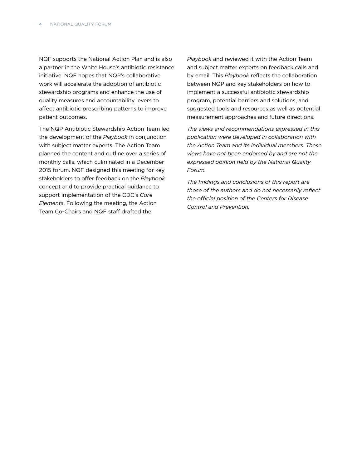NQF supports the National Action Plan and is also a partner in the White House's antibiotic resistance initiative. NQF hopes that NQP's collaborative work will accelerate the adoption of antibiotic stewardship programs and enhance the use of quality measures and accountability levers to affect antibiotic prescribing patterns to improve patient outcomes.

The NQP Antibiotic Stewardship Action Team led the development of the *Playbook* in conjunction with subject matter experts. The Action Team planned the content and outline over a series of monthly calls, which culminated in a December 2015 forum. NQF designed this meeting for key stakeholders to offer feedback on the *Playbook* concept and to provide practical guidance to support implementation of the CDC's *Core Elements*. Following the meeting, the Action Team Co-Chairs and NQF staff drafted the

*Playbook* and reviewed it with the Action Team and subject matter experts on feedback calls and by email. This *Playbook* reflects the collaboration between NQP and key stakeholders on how to implement a successful antibiotic stewardship program, potential barriers and solutions, and suggested tools and resources as well as potential measurement approaches and future directions.

*The views and recommendations expressed in this publication were developed in collaboration with the Action Team and its individual members. These views have not been endorsed by and are not the expressed opinion held by the National Quality Forum.*

*The findings and conclusions of this report are those of the authors and do not necessarily reflect the official position of the Centers for Disease Control and Prevention.*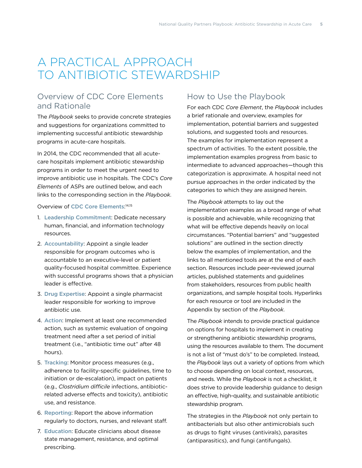## <span id="page-6-0"></span>A PRACTICAL APPROACH TO ANTIBIOTIC STEWARDSHIP

## Overview of CDC Core Elements and Rationale

The *Playbook* seeks to provide concrete strategies and suggestions for organizations committed to implementing successful antibiotic stewardship programs in acute-care hospitals.

In 2014, the CDC recommended that all acutecare hospitals implement antibiotic stewardship programs in order to meet the urgent need to improve antibiotic use in hospitals. The CDC's *Core Elements* of ASPs are outlined below, and each links to the corresponding section in the *Playbook*.

#### Overview of [CDC Core Elements](http://www.cdc.gov/getsmart/healthcare/pdfs/core-elements.pdf): [14,](#page-29-13)[15](#page-29-14)

- 1. [Leadership Commitment](#page-7-1): Dedicate necessary human, financial, and information technology resources.
- 2. [Accountability](#page-10-1): Appoint a single leader responsible for program outcomes who is accountable to an executive-level or patient quality-focused hospital committee. Experience with successful programs shows that a physician leader is effective.
- 3. [Drug Expertise](#page-13-1): Appoint a single pharmacist leader responsible for working to improve antibiotic use.
- 4. [Action](#page-15-1): Implement at least one recommended action, such as systemic evaluation of ongoing treatment need after a set period of initial treatment (i.e., "antibiotic time out" after 48 hours).
- 5. [Tracking](#page-18-1): Monitor process measures (e.g., adherence to facility-specific guidelines, time to initiation or de-escalation), impact on patients (e.g., *Clostridium difficile* infections, antibioticrelated adverse effects and toxicity), antibiotic use, and resistance.
- 6. [Reporting](#page-20-1): Report the above information regularly to doctors, nurses, and relevant staff.
- 7. [Education](#page-22-1): Educate clinicians about disease state management, resistance, and optimal prescribing.

## How to Use the Playbook

For each CDC *Core Element*, the *Playbook* includes a brief rationale and overview, examples for implementation, potential barriers and suggested solutions, and suggested tools and resources. The examples for implementation represent a spectrum of activities. To the extent possible, the implementation examples progress from basic to intermediate to advanced approaches—though this categorization is approximate. A hospital need not pursue approaches in the order indicated by the categories to which they are assigned herein.

The *Playbook* attempts to lay out the implementation examples as a broad range of what is possible and achievable, while recognizing that what will be effective depends heavily on local circumstances. "Potential barriers" and "suggested solutions" are outlined in the section directly below the examples of implementation, and the links to all mentioned tools are at the end of each section. Resources include peer-reviewed journal articles, published statements and guidelines from stakeholders, resources from public health organizations, and sample hospital tools. Hyperlinks for each resource or tool are included in the Appendix by section of the *Playbook*.

The *Playbook* intends to provide practical guidance on options for hospitals to implement in creating or strengthening antibiotic stewardship programs, using the resources available to them. The document is not a list of "must do's" to be completed. Instead, the *Playbook* lays out a variety of options from which to choose depending on local context, resources, and needs. While the *Playbook* is not a checklist, it does strive to provide leadership guidance to design an effective, high-quality, and sustainable antibiotic stewardship program.

The strategies in the *Playbook* not only pertain to antibacterials but also other antimicrobials such as drugs to fight viruses (antivirals), parasites (antiparasitics), and fungi (antifungals).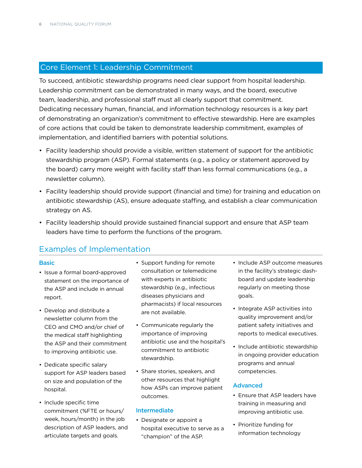## <span id="page-7-1"></span><span id="page-7-0"></span>Core Element 1: Leadership Commitment

To succeed, antibiotic stewardship programs need clear support from hospital leadership. Leadership commitment can be demonstrated in many ways, and the board, executive team, leadership, and professional staff must all clearly support that commitment. Dedicating necessary human, financial, and information technology resources is a key part of demonstrating an organization's commitment to effective stewardship. Here are examples of core actions that could be taken to demonstrate leadership commitment, examples of implementation, and identified barriers with potential solutions.

- Facility leadership should provide a visible, written statement of support for the antibiotic stewardship program (ASP). Formal statements (e.g., a policy or statement approved by the board) carry more weight with facility staff than less formal communications (e.g., a newsletter column).
- Facility leadership should provide support (financial and time) for training and education on antibiotic stewardship (AS), ensure adequate staffing, and establish a clear communication strategy on AS.
- Facility leadership should provide sustained financial support and ensure that ASP team leaders have time to perform the functions of the program.

## Examples of Implementation

#### Basic

- Issue a formal board-approved statement on the importance of the ASP and include in annual report.
- Develop and distribute a newsletter column from the CEO and CMO and/or chief of the medical staff highlighting the ASP and their commitment to improving antibiotic use.
- Dedicate specific salary support for ASP leaders based on size and population of the hospital.
- Include specific time commitment (%FTE or hours/ week, hours/month) in the job description of ASP leaders, and articulate targets and goals.
- Support funding for remote consultation or telemedicine with experts in antibiotic stewardship (e.g., infectious diseases physicians and pharmacists) if local resources are not available.
- Communicate regularly the importance of improving antibiotic use and the hospital's commitment to antibiotic stewardship.
- Share stories, speakers, and other resources that highlight how ASPs can improve patient outcomes.

#### Intermediate

• Designate or appoint a hospital executive to serve as a "champion" of the ASP.

- Include ASP outcome measures in the facility's strategic dashboard and update leadership regularly on meeting those goals.
- Integrate ASP activities into quality improvement and/or patient safety initiatives and reports to medical executives.
- Include antibiotic stewardship in ongoing provider education programs and annual competencies.

#### Advanced

- Ensure that ASP leaders have training in measuring and improving antibiotic use.
- Prioritize funding for information technology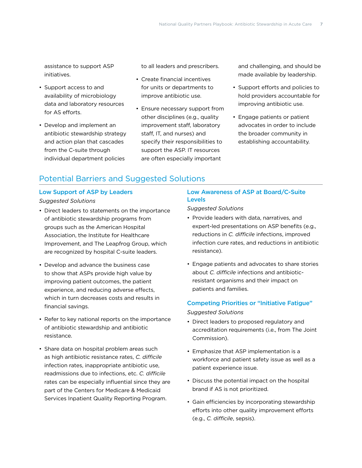assistance to support ASP initiatives.

- Support access to and availability of microbiology data and laboratory resources for AS efforts.
- Develop and implement an antibiotic stewardship strategy and action plan that cascades from the C-suite through individual department policies

to all leaders and prescribers.

- Create financial incentives for units or departments to improve antibiotic use.
- Ensure necessary support from other disciplines (e.g., quality improvement staff, laboratory staff, IT, and nurses) and specify their responsibilities to support the ASP. IT resources are often especially important

and challenging, and should be made available by leadership.

- Support efforts and policies to hold providers accountable for improving antibiotic use.
- Engage patients or patient advocates in order to include the broader community in establishing accountability.

#### Potential Barriers and Suggested Solutions

#### Low Support of ASP by Leaders *Suggested Solutions*

- Direct leaders to statements on the importance of antibiotic stewardship programs from groups such as the American Hospital Association, the Institute for Healthcare Improvement, and The Leapfrog Group, which are recognized by hospital C-suite leaders.
- Develop and advance the business case to show that ASPs provide high value by improving patient outcomes, the patient experience, and reducing adverse effects, which in turn decreases costs and results in financial savings.
- Refer to key national reports on the importance of antibiotic stewardship and antibiotic resistance.
- Share data on hospital problem areas such as high antibiotic resistance rates, *C. difficile* infection rates, inappropriate antibiotic use, readmissions due to infections, etc. *C. difficile* rates can be especially influential since they are part of the Centers for Medicare & Medicaid Services Inpatient Quality Reporting Program.

#### Low Awareness of ASP at Board/C-Suite Levels

*Suggested Solutions*

- Provide leaders with data, narratives, and expert-led presentations on ASP benefits (e.g., reductions in *C. difficile* infections, improved infection cure rates, and reductions in antibiotic resistance).
- Engage patients and advocates to share stories about *C. difficile* infections and antibioticresistant organisms and their impact on patients and families.

## Competing Priorities or "Initiative Fatigue"

#### *Suggested Solutions*

- Direct leaders to proposed regulatory and accreditation requirements (i.e., from The Joint Commission).
- Emphasize that ASP implementation is a workforce and patient safety issue as well as a patient experience issue.
- Discuss the potential impact on the hospital brand if AS is not prioritized.
- Gain efficiencies by incorporating stewardship efforts into other quality improvement efforts (e.g., *C. difficile*, sepsis).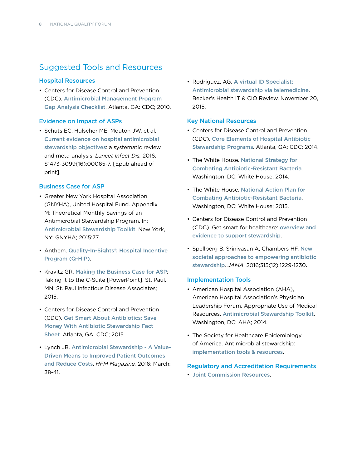## Suggested Tools and Resources

#### Hospital Resources

• Centers for Disease Control and Prevention (CDC). [Antimicrobial Management Program](http://www.cdc.gov/getsmart/healthcare/improve-efforts/resources/pdf/AMP-GapAnalysisChecklist.pdf)  [Gap Analysis Checklist](http://www.cdc.gov/getsmart/healthcare/improve-efforts/resources/pdf/AMP-GapAnalysisChecklist.pdf). Atlanta, GA: CDC; 2010.

#### Evidence on Impact of ASPs

• Schuts EC, Hulscher ME, Mouton JW, et al. [Current evidence on hospital antimicrobial](http://dx.doi.org/10.1016/S1473-3099(16)00065-7)  [stewardship objectives](http://dx.doi.org/10.1016/S1473-3099(16)00065-7): a systematic review and meta-analysis. *Lancet Infect Dis.* 2016; S1473-3099(16):00065-7. [Epub ahead of print].

#### Business Case for ASP

- Greater New York Hospital Association (GNYHA), United Hospital Fund. Appendix M: Theoretical Monthly Savings of an Antimicrobial Stewardship Program. In: [Antimicrobial Stewardship Toolkit](http://www.gnyha.org/whatwedo/quality-patient-safety/infection-control-prevention). New York, NY: GNYHA; 2015:77.
- Anthem. [Quality-In-Sights®: Hospital Incentive](https://www.anthem.com/provider/noapplication/f0/s0/t0/pw_b154968.pdf?refer=ahpprovider&state=nh)  [Program \(Q-HIP\)](https://www.anthem.com/provider/noapplication/f0/s0/t0/pw_b154968.pdf?refer=ahpprovider&state=nh).
- Kravitz GR. [Making the Business Case for ASP](http://www.shea-online.org/images/priority-topics/Business_Case_for_ASP.pdf): Taking It to the C-Suite [PowerPoint]. St. Paul, MN: St. Paul Infectious Disease Associates; 2015.
- Centers for Disease Control and Prevention (CDC). [Get Smart About Antibiotics: Save](http://www.cdc.gov/getsmart/week/downloads/gsw-factsheet-cost.pdf)  [Money With Antibiotic Stewardship Fact](http://www.cdc.gov/getsmart/week/downloads/gsw-factsheet-cost.pdf)  [Sheet](http://www.cdc.gov/getsmart/week/downloads/gsw-factsheet-cost.pdf). Atlanta, GA: CDC; 2015.
- Lynch JB. [Antimicrobial Stewardship A Value-](https://www.hfma.org/Content.aspx?id=46774)[Driven Means to Improved Patient Outcomes](https://www.hfma.org/Content.aspx?id=46774)  [and Reduce Costs](https://www.hfma.org/Content.aspx?id=46774). *HFM Magazine.* 2016; March: 38-41.

• Rodriguez, AG. [A virtual ID Specialist:](http://www.beckershospitalreview.com/healthcare-information-technology/a-virtual-id-specialist-antimicrobial-stewardship-via-telemedicine.html)  [Antimicrobial stewardship via telemedicine](http://www.beckershospitalreview.com/healthcare-information-technology/a-virtual-id-specialist-antimicrobial-stewardship-via-telemedicine.html). Becker's Health IT & CIO Review. November 20, 2015.

#### Key National Resources

- Centers for Disease Control and Prevention (CDC). [Core Elements of Hospital Antibiotic](http://www.cdc.gov/getsmart/healthcare/pdfs/core-elements.pdf)  [Stewardship Programs](http://www.cdc.gov/getsmart/healthcare/pdfs/core-elements.pdf). Atlanta, GA: CDC: 2014.
- The White House. [National Strategy for](https://www.whitehouse.gov/sites/default/files/docs/carb_national_strategy.pdf)  [Combating Antibiotic-Resistant Bacteria](https://www.whitehouse.gov/sites/default/files/docs/carb_national_strategy.pdf). Washington, DC: White House; 2014.
- The White House. [National Action Plan for](https://www.whitehouse.gov/sites/default/files/docs/national_action_plan_for_combating_antibotic-resistant_bacteria.pdf)  [Combating Antibiotic-Resistant Bacteria](https://www.whitehouse.gov/sites/default/files/docs/national_action_plan_for_combating_antibotic-resistant_bacteria.pdf). Washington, DC: White House; 2015.
- Centers for Disease Control and Prevention (CDC). Get smart for healthcare: [overview and](http://www.cdc.gov/getsmart/healthcare/evidence.html)  [evidence to support stewardship](http://www.cdc.gov/getsmart/healthcare/evidence.html).
- Spellberg B, Srinivasan A, Chambers HF. [New](http://dx.doi.org/doi:10.1001/jama.2016.1346)  [societal approaches to empowering antibiotic](http://dx.doi.org/doi:10.1001/jama.2016.1346)  [stewardship](http://dx.doi.org/doi:10.1001/jama.2016.1346). *JAMA*. 2016;315(12):1229-1230.

#### Implementation Tools

- American Hospital Association (AHA), American Hospital Association's Physician Leadership Forum. Appropriate Use of Medical Resources. [Antimicrobial Stewardship Toolkit](http://www.ahaphysicianforum.org/resources/appropriate-use/antimicrobial/ASP-Toolkit-v3.pdf). Washington, DC: AHA; 2014.
- The Society for Healthcare Epidemiology of America. Antimicrobial stewardship: [implementation tools & resources](http://www.shea-online.org/priority-topics/antimicrobial-stewardship/implementation-tools-resources).

#### Regulatory and Accreditation Requirements

• [Joint Commission Resources](https://www.jcrinc.com).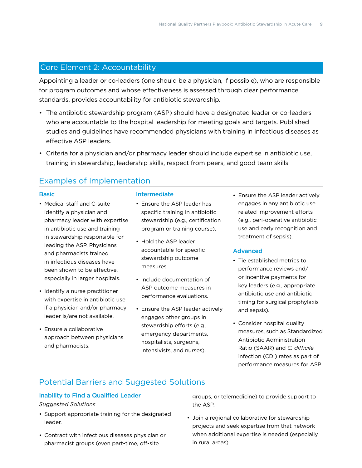### <span id="page-10-1"></span><span id="page-10-0"></span>Core Element 2: Accountability

Appointing a leader or co-leaders (one should be a physician, if possible), who are responsible for program outcomes and whose effectiveness is assessed through clear performance standards, provides accountability for antibiotic stewardship.

- The antibiotic stewardship program (ASP) should have a designated leader or co-leaders who are accountable to the hospital leadership for meeting goals and targets. Published studies and guidelines have recommended physicians with training in infectious diseases as effective ASP leaders.
- Criteria for a physician and/or pharmacy leader should include expertise in antibiotic use, training in stewardship, leadership skills, respect from peers, and good team skills.

## Examples of Implementation

#### **Basic**

- Medical staff and C-suite identify a physician and pharmacy leader with expertise in antibiotic use and training in stewardship responsible for leading the ASP. Physicians and pharmacists trained in infectious diseases have been shown to be effective, especially in larger hospitals.
- Identify a nurse practitioner with expertise in antibiotic use if a physician and/or pharmacy leader is/are not available.
- Ensure a collaborative approach between physicians and pharmacists.

#### Intermediate

- Ensure the ASP leader has specific training in antibiotic stewardship (e.g., certification program or training course).
- Hold the ASP leader accountable for specific stewardship outcome measures.
- Include documentation of ASP outcome measures in performance evaluations.
- Ensure the ASP leader actively engages other groups in stewardship efforts (e.g., emergency departments, hospitalists, surgeons, intensivists, and nurses).

• Ensure the ASP leader actively engages in any antibiotic use related improvement efforts (e.g., peri-operative antibiotic use and early recognition and treatment of sepsis).

#### Advanced

- Tie established metrics to performance reviews and/ or incentive payments for key leaders (e.g., appropriate antibiotic use and antibiotic timing for surgical prophylaxis and sepsis).
- Consider hospital quality measures, such as Standardized Antibiotic Administration Ratio (SAAR) and *C. difficile* infection (CDI) rates as part of performance measures for ASP.

## Potential Barriers and Suggested Solutions

#### Inability to Find a Qualified Leader

#### *Suggested Solutions*

- Support appropriate training for the designated leader.
- Contract with infectious diseases physician or pharmacist groups (even part-time, off-site

groups, or telemedicine) to provide support to the ASP.

• Join a regional collaborative for stewardship projects and seek expertise from that network when additional expertise is needed (especially in rural areas).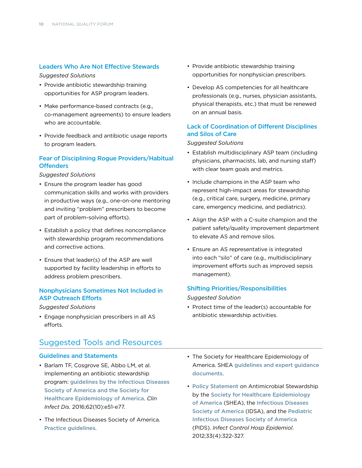#### Leaders Who Are Not Effective Stewards

#### *Suggested Solutions*

- Provide antibiotic stewardship training opportunities for ASP program leaders.
- Make performance-based contracts (e.g., co-management agreements) to ensure leaders who are accountable.
- Provide feedback and antibiotic usage reports to program leaders.

#### Fear of Disciplining Rogue Providers/Habitual **Offenders**

*Suggested Solutions*

- Ensure the program leader has good communication skills and works with providers in productive ways (e.g., one-on-one mentoring and inviting "problem" prescribers to become part of problem-solving efforts).
- Establish a policy that defines noncompliance with stewardship program recommendations and corrective actions.
- Ensure that leader(s) of the ASP are well supported by facility leadership in efforts to address problem prescribers.

#### Nonphysicians Sometimes Not Included in ASP Outreach Efforts

#### *Suggested Solutions*

• Engage nonphysician prescribers in all AS efforts.

#### Suggested Tools and Resources

#### Guidelines and Statements

- Barlam TF, Cosgrove SE, Abbo LM, et al. Implementing an antibiotic stewardship program: [guidelines by the Infectious Diseases](http://dx.doi.org/%2010.1093/cid/ciw118)  [Society of America and the Society for](http://dx.doi.org/%2010.1093/cid/ciw118)  [Healthcare Epidemiology of America](http://dx.doi.org/%2010.1093/cid/ciw118). *Clin Infect Dis.* 2016;62(10):e51-e77.
- The Infectious Diseases Society of America. [Practice guidelines](http://www.idsociety.org/IDSA_Practice_Guidelines/).
- Provide antibiotic stewardship training opportunities for nonphysician prescribers.
- Develop AS competencies for all healthcare professionals (e.g., nurses, physician assistants, physical therapists, etc.) that must be renewed on an annual basis.

#### Lack of Coordination of Different Disciplines and Silos of Care

#### *Suggested Solutions*

- Establish multidisciplinary ASP team (including physicians, pharmacists, lab, and nursing staff) with clear team goals and metrics.
- Include champions in the ASP team who represent high-impact areas for stewardship (e.g., critical care, surgery, medicine, primary care, emergency medicine, and pediatrics).
- Align the ASP with a C-suite champion and the patient safety/quality improvement department to elevate AS and remove silos.
- Ensure an AS representative is integrated into each "silo" of care (e.g., multidisciplinary improvement efforts such as improved sepsis management).

#### Shifting Priorities/Responsibilities

#### *Suggested Solution*

- Protect time of the leader(s) accountable for antibiotic stewardship activities.
- The Society for Healthcare Epidemiology of America. SHEA [guidelines and expert guidance](http://www.shea-online.org/GuidelinesResources/Guidelines.aspx)  [documents](http://www.shea-online.org/GuidelinesResources/Guidelines.aspx).
- [Policy Statement](http://bit.ly/1sfsfxb) on Antimicrobial Stewardship by the [Society for Healthcare Epidemiology](http://www.shea-online.org/)  [of America](http://www.shea-online.org/) (SHEA), the [Infectious Diseases](http://www.idsociety.org/)  [Society of America](http://www.idsociety.org/) (IDSA), and the [Pediatric](https://www.pids.org/)  [Infectious Diseases Society of America](https://www.pids.org/) (PIDS). *Infect Control Hosp Epidemiol*. 2012;33(4):322-327.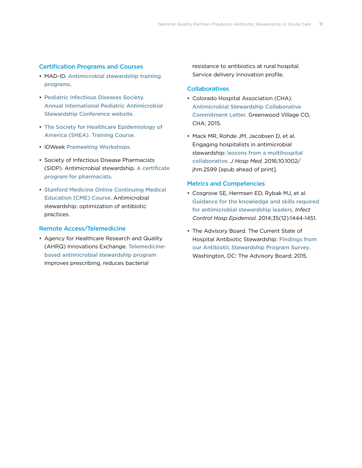#### Certification Programs and Courses

- MAD-ID. [Antimicrobial stewardship training](http://mad-id.org/antimicrobial-stewardship-programs/)  [programs](http://mad-id.org/antimicrobial-stewardship-programs/).
- Pediatric Infectious Diseases Society. [Annual International Pediatric Antimicrobial](http://www.pids.org/meetings-and-events/asp-conference.html)  [Stewardship Conference website](http://www.pids.org/meetings-and-events/asp-conference.html).
- The Society for Healthcare Epidemiology of America (SHEA). [Training Course](http://www.shea-online.org/Education.aspx).
- IDWeek [Premeeting Workshops](http://www.idweek.org/premeeting-workshop/).
- Society of Infectious Disease Pharmacists (SIDP). Antimicrobial stewardship. [A certificate](http://www.sidp.org/page-1442823)  [program for pharmacists](http://www.sidp.org/page-1442823).
- [Stanford Medicine Online Continuing Medical](https://med.stanford.edu/cme/courses/online/antimicrobial.html)  [Education \(CME\) Course](https://med.stanford.edu/cme/courses/online/antimicrobial.html). Antimicrobial stewardship: optimization of antibiotic practices.

#### Remote Access/Telemedicine

• Agency for Healthcare Research and Quality (AHRQ) Innovations Exchange. [Telemedicine](https://innovations.ahrq.gov/profiles/telemedicine-based-antimicrobial-stewardship-program-improves-prescribing-reduces-bacterial)[based antimicrobial stewardship program](https://innovations.ahrq.gov/profiles/telemedicine-based-antimicrobial-stewardship-program-improves-prescribing-reduces-bacterial) improves prescribing, reduces bacterial

resistance to antibiotics at rural hospital. Service delivery innovation profile.

#### **Collaboratives**

- Colorado Hospital Association (CHA). [Antimicrobial Stewardship Collaborative](http://www.qualityforum.org/WorkArea/linkit.aspx?LinkIdentifier=id&ItemID=82401)  [Commitment Letter](http://www.qualityforum.org/WorkArea/linkit.aspx?LinkIdentifier=id&ItemID=82401). Greenwood Village CO, CHA; 2015.
- Mack MR, Rohde JM, Jacobsen D, et al. Engaging hospitalists in antimicrobial stewardship: [lessons from a multihospital](http://dx.doi.org/10.1002/jhm.2599)  [collaborative](http://dx.doi.org/10.1002/jhm.2599). *J Hosp Med.* 2016;10.1002/ jhm.2599 [epub ahead of print].

#### Metrics and Competencies

- Cosgrove SE, Hermsen ED, Rybak MJ, et al. [Guidance for the knowledge and skills required](http://www.jstor.org/stable/10.1086/678592)  [for antimicrobial stewardship leaders](http://www.jstor.org/stable/10.1086/678592). *Infect Control Hosp Epidemiol.* 2014;35(12):1444-1451.
- The Advisory Board. The Current State of Hospital Antibiotic Stewardship: [Findings from](https://www.advisory.com/technology/crimson-continuum-of-care/members/expert-insights/the-current-state-of-hospital-antibiotic-stewardship)  [our Antibiotic Stewardship Program Survey](https://www.advisory.com/technology/crimson-continuum-of-care/members/expert-insights/the-current-state-of-hospital-antibiotic-stewardship). Washington, DC: The Advisory Board; 2015.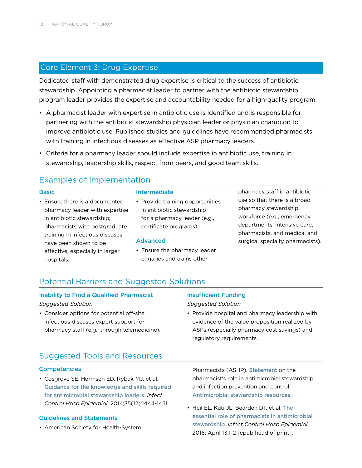## <span id="page-13-1"></span><span id="page-13-0"></span>Core Element 3: Drug Expertise

Dedicated staff with demonstrated drug expertise is critical to the success of antibiotic stewardship. Appointing a pharmacist leader to partner with the antibiotic stewardship program leader provides the expertise and accountability needed for a high-quality program.

- A pharmacist leader with expertise in antibiotic use is identified and is responsible for partnering with the antibiotic stewardship physician leader or physician champion to improve antibiotic use. Published studies and guidelines have recommended pharmacists with training in infectious diseases as effective ASP pharmacy leaders.
- Criteria for a pharmacy leader should include expertise in antibiotic use, training in stewardship, leadership skills, respect from peers, and good team skills.

## Examples of Implementation

#### **Basic**

• Ensure there is a documented pharmacy leader with expertise in antibiotic stewardship; pharmacists with postgraduate training in infectious diseases have been shown to be effective, especially in larger hospitals.

#### Intermediate

• Provide training opportunities in antibiotic stewardship for a pharmacy leader (e.g., certificate programs).

#### Advanced

• Ensure the pharmacy leader engages and trains other

pharmacy staff in antibiotic use so that there is a broad pharmacy stewardship workforce (e.g., emergency departments, intensive care, pharmacists, and medical and surgical specialty pharmacists).

## Potential Barriers and Suggested Solutions

#### Inability to Find a Qualified Pharmacist

#### *Suggested Solution*

• Consider options for potential off-site infectious diseases expert support for pharmacy staff (e.g., through telemedicine).

#### Insufficient Funding

#### *Suggested Solution*

• Provide hospital and pharmacy leadership with evidence of the value proposition realized by ASPs (especially pharmacy cost savings) and regulatory requirements.

## Suggested Tools and Resources

#### **Competencies**

• Cosgrove SE, Hermsen ED, Rybak MJ, et al. [Guidance for the knowledge and skills required](http://www.jstor.org/stable/10.1086/678592)  [for antimicrobial stewardship leaders](http://www.jstor.org/stable/10.1086/678592). *Infect Control Hosp Epidemiol.* 2014;35(12):1444-1451.

#### Guidelines and Statements

• American Society for Health-System

Pharmacists (ASHP). [Statement](http://www.ashp.org/DocLibrary/BestPractices/SpecificStAntimicrob.aspx) on the pharmacist's role in antimicrobial stewardship and infection prevention and control. [Antimicrobial stewardship resources](http://www.ashp.org/menu/PracticePolicy/ResourceCenters/Inpatient-Care-Practitioners/Antimicrobial-Stewardship).

• Heil EL, Kuti JL, Bearden DT, et al. [The](http://dx.doi.org/10.1017/ice.2016.82)  [essential role of pharmacists in antimicrobial](http://dx.doi.org/10.1017/ice.2016.82)  [stewardship](http://dx.doi.org/10.1017/ice.2016.82). *Infect Control Hosp Epidemiol.* 2016; April 13:1-2 [epub head of print].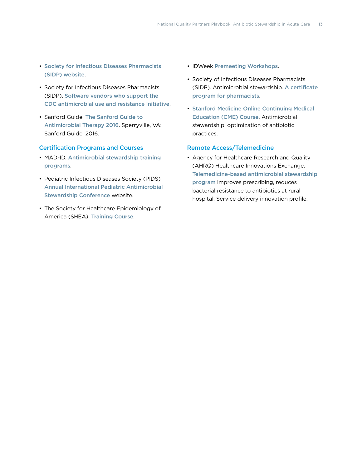- [Society for Infectious Diseases Pharmacists](http://www.sidp.org/)  [\(SIDP\) website](http://www.sidp.org/).
- Society for Infectious Diseases Pharmacists (SIDP). [Software vendors who support the](http://www.sidp.org/aurvendors)  [CDC antimicrobial use and resistance initiative](http://www.sidp.org/aurvendors).
- Sanford Guide. [The Sanford Guide to](http://www.sanfordguide.com/)  [Antimicrobial Therapy 2016](http://www.sanfordguide.com/). Sperryville, VA: Sanford Guide; 2016.

#### Certification Programs and Courses

- MAD-ID. [Antimicrobial stewardship training](http://mad-id.org/antimicrobial-stewardship-programs/)  [programs](http://mad-id.org/antimicrobial-stewardship-programs/).
- Pediatric Infectious Diseases Society (PIDS) [Annual International Pediatric Antimicrobial](http://www.pids.org/meetings-and-events/asp-conference.html)  [Stewardship Conference](http://www.pids.org/meetings-and-events/asp-conference.html) website.
- The Society for Healthcare Epidemiology of America (SHEA). [Training Course](http://www.shea-online.org/Education.aspx).
- IDWeek [Premeeting Workshops](http://www.idweek.org/premeeting-workshop/).
- Society of Infectious Diseases Pharmacists (SIDP). Antimicrobial stewardship. [A certificate](http://www.sidp.org/page-1442823)  [program for pharmacists](http://www.sidp.org/page-1442823).
- [Stanford Medicine Online Continuing Medical](https://med.stanford.edu/cme/courses/online/antimicrobial.html)  [Education \(CME\) Course](https://med.stanford.edu/cme/courses/online/antimicrobial.html). Antimicrobial stewardship: optimization of antibiotic practices.

#### Remote Access/Telemedicine

• Agency for Healthcare Research and Quality (AHRQ) Healthcare Innovations Exchange. [Telemedicine-based antimicrobial stewardship](https://innovations.ahrq.gov/profiles/telemedicine-based-antimicrobial-stewardship-program-improves-prescribing-reduces-bacterial)  [program](https://innovations.ahrq.gov/profiles/telemedicine-based-antimicrobial-stewardship-program-improves-prescribing-reduces-bacterial) improves prescribing, reduces bacterial resistance to antibiotics at rural hospital. Service delivery innovation profile.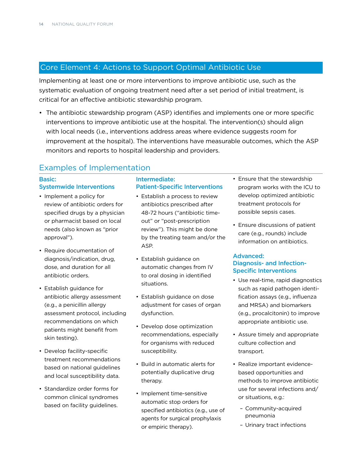## <span id="page-15-1"></span><span id="page-15-0"></span>Core Element 4: Actions to Support Optimal Antibiotic Use

Implementing at least one or more interventions to improve antibiotic use, such as the systematic evaluation of ongoing treatment need after a set period of initial treatment, is critical for an effective antibiotic stewardship program.

• The antibiotic stewardship program (ASP) identifies and implements one or more specific interventions to improve antibiotic use at the hospital. The intervention(s) should align with local needs (i.e., interventions address areas where evidence suggests room for improvement at the hospital). The interventions have measurable outcomes, which the ASP monitors and reports to hospital leadership and providers.

## Examples of Implementation

#### Basic: Systemwide Interventions

- Implement a policy for review of antibiotic orders for specified drugs by a physician or pharmacist based on local needs (also known as "prior approval").
- Require documentation of diagnosis/indication, drug, dose, and duration for all antibiotic orders.
- Establish guidance for antibiotic allergy assessment (e.g., a penicillin allergy assessment protocol, including recommendations on which patients might benefit from skin testing).
- Develop facility-specific treatment recommendations based on national guidelines and local susceptibility data.
- Standardize order forms for common clinical syndromes based on facility guidelines.

#### Intermediate: Patient-Specific Interventions

- Establish a process to review antibiotics prescribed after 48-72 hours ("antibiotic timeout" or "post-prescription review"). This might be done by the treating team and/or the ASP.
- Establish guidance on automatic changes from IV to oral dosing in identified situations.
- Establish guidance on dose adjustment for cases of organ dysfunction.
- Develop dose optimization recommendations, especially for organisms with reduced susceptibility.
- Build in automatic alerts for potentially duplicative drug therapy.
- Implement time-sensitive automatic stop orders for specified antibiotics (e.g., use of agents for surgical prophylaxis or empiric therapy).
- Ensure that the stewardship program works with the ICU to develop optimized antibiotic treatment protocols for possible sepsis cases.
- Ensure discussions of patient care (e.g., rounds) include information on antibiotics.

#### Advanced: Diagnosis- and Infection-Specific Interventions

- Use real-time, rapid diagnostics such as rapid pathogen identification assays (e.g., influenza and MRSA) and biomarkers (e.g., procalcitonin) to improve appropriate antibiotic use.
- Assure timely and appropriate culture collection and transport.
- Realize important evidencebased opportunities and methods to improve antibiotic use for several infections and/ or situations, e.g.:
	- Community-acquired pneumonia
	- Urinary tract infections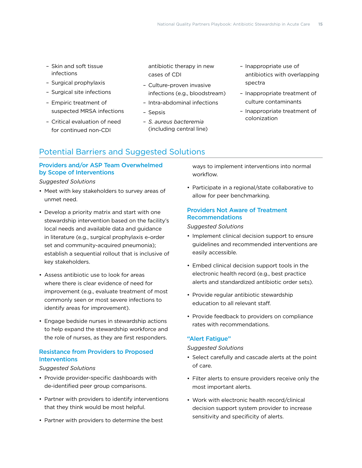- Skin and soft tissue infections
- Surgical prophylaxis
- Surgical site infections
- Empiric treatment of suspected MRSA infections
- Critical evaluation of need for continued non-CDI

antibiotic therapy in new cases of CDI

- Culture-proven invasive infections (e.g., bloodstream)
- Intra-abdominal infections
- Sepsis
- *S. aureus bacteremia*  (including central line)
- Inappropriate use of antibiotics with overlapping spectra
- Inappropriate treatment of culture contaminants
- Inappropriate treatment of colonization

## Potential Barriers and Suggested Solutions

#### Providers and/or ASP Team Overwhelmed by Scope of Interventions

#### *Suggested Solutions*

- Meet with key stakeholders to survey areas of unmet need.
- Develop a priority matrix and start with one stewardship intervention based on the facility's local needs and available data and guidance in literature (e.g., surgical prophylaxis e-order set and community-acquired pneumonia); establish a sequential rollout that is inclusive of key stakeholders.
- Assess antibiotic use to look for areas where there is clear evidence of need for improvement (e.g., evaluate treatment of most commonly seen or most severe infections to identify areas for improvement).
- Engage bedside nurses in stewardship actions to help expand the stewardship workforce and the role of nurses, as they are first responders.

#### Resistance from Providers to Proposed **Interventions**

#### *Suggested Solutions*

- Provide provider-specific dashboards with de-identified peer group comparisons.
- Partner with providers to identify interventions that they think would be most helpful.
- Partner with providers to determine the best

ways to implement interventions into normal workflow.

• Participate in a regional/state collaborative to allow for peer benchmarking.

#### Providers Not Aware of Treatment Recommendations

#### *Suggested Solutions*

- Implement clinical decision support to ensure guidelines and recommended interventions are easily accessible.
- Embed clinical decision support tools in the electronic health record (e.g., best practice alerts and standardized antibiotic order sets).
- Provide regular antibiotic stewardship education to all relevant staff.
- Provide feedback to providers on compliance rates with recommendations.

#### "Alert Fatigue"

#### *Suggested Solutions*

- Select carefully and cascade alerts at the point of care.
- Filter alerts to ensure providers receive only the most important alerts.
- Work with electronic health record/clinical decision support system provider to increase sensitivity and specificity of alerts.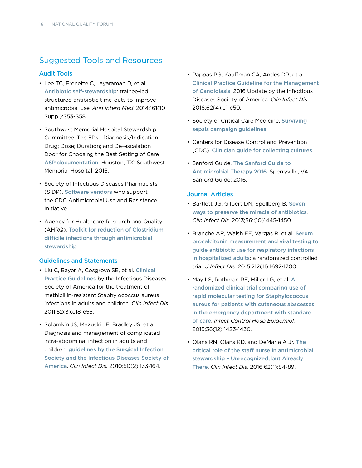## Suggested Tools and Resources

#### Audit Tools

- Lee TC, Frenette C, Jayaraman D, et al. [Antibiotic self-stewardship](http://dx.doi.org/10.7326/M13-3016): trainee-led structured antibiotic time-outs to improve antimicrobial use. *Ann Intern Med*. 2014;161(10 Suppl):S53-S58.
- Southwest Memorial Hospital Stewardship Committee. The 5Ds—Diagnosis/Indication; Drug; Dose; Duration; and De-escalation + Door for Choosing the Best Setting of Care [ASP documentation](http://www.qualityforum.org/WorkArea/linkit.aspx?LinkIdentifier=id&ItemID=82402). Houston, TX: Southwest Memorial Hospital; 2016.
- Society of Infectious Diseases Pharmacists (SIDP). [Software vendors](http://www.sidp.org/aurvendors) who support the CDC Antimicrobial Use and Resistance Initiative.
- Agency for Healthcare Research and Quality (AHRQ). [Toolkit for reduction of Clostridium](http://www.ahrq.gov/professionals/quality-patient-safety/patient-safety-resources/resources/cdifftoolkit/index.html)  [difficile infections through antimicrobial](http://www.ahrq.gov/professionals/quality-patient-safety/patient-safety-resources/resources/cdifftoolkit/index.html)  [stewardship](http://www.ahrq.gov/professionals/quality-patient-safety/patient-safety-resources/resources/cdifftoolkit/index.html).

#### Guidelines and Statements

- Liu C, Bayer A, Cosgrove SE, et al. [Clinical](http://dx.doi.org/10.1093/cid/ciq146)  [Practice Guidelines](http://dx.doi.org/10.1093/cid/ciq146) by the Infectious Diseases Society of America for the treatment of methicillin-resistant Staphylococcus aureus infections in adults and children. *Clin Infect Dis.*  2011;52(3):e18-e55.
- Solomkin JS, Mazuski JE, Bradley JS, et al. Diagnosis and management of complicated intra-abdominal infection in adults and children: [guidelines by the Surgical Infection](http://dx.doi.org/10.1086/649554)  [Society and the Infectious Diseases Society of](http://dx.doi.org/10.1086/649554)  [America](http://dx.doi.org/10.1086/649554). *Clin Infect Dis.* 2010;50(2):133-164.
- Pappas PG, Kauffman CA, Andes DR, et al. [Clinical Practice Guideline for the Management](http://cid.oxfordjournals.org/content/62/4/e1)  [of Candidiasis](http://cid.oxfordjournals.org/content/62/4/e1): 2016 Update by the Infectious Diseases Society of America. *Clin Infect Dis.*  2016;62(4):e1-e50.
- Society of Critical Care Medicine. [Surviving](http://www.survivingsepsis.org/guidelines/Pages/default.aspx)  [sepsis campaign guidelines](http://www.survivingsepsis.org/guidelines/Pages/default.aspx).
- Centers for Disease Control and Prevention (CDC). [Clinician guide for collecting cultures](http://www.cdc.gov/getsmart/healthcare/implementation/clinicianguide.html).
- Sanford Guide. [The Sanford Guide to](http://www.sanfordguide.com)  [Antimicrobial Therapy 2016](http://www.sanfordguide.com). Sperryville, VA: Sanford Guide; 2016.

#### Journal Articles

- Bartlett JG, Gilbert DN, Spellberg B. [Seven](http://dx.doi.org/10.1093/cid/cit070)  [ways to preserve the miracle of antibiotics](http://dx.doi.org/10.1093/cid/cit070). *Clin Infect Dis*. 2013;56:(10)1445-1450.
- Branche AR, Walsh EE, Vargas R, et al. [Serum](http://dx.doi.org/%2010.1093/infdis/jiv252)  [procalcitonin measurement and viral testing to](http://dx.doi.org/%2010.1093/infdis/jiv252)  [guide antibiotic use for respiratory infections](http://dx.doi.org/%2010.1093/infdis/jiv252)  [in hospitalized adults](http://dx.doi.org/%2010.1093/infdis/jiv252): a randomized controlled trial. *J Infect Dis.* 2015;212(11):1692-1700.
- May LS, Rothman RE, Miller LG, et al. [A](http://dx.doi.org/10.1017/ice.2015.202)  [randomized clinical trial comparing use of](http://dx.doi.org/10.1017/ice.2015.202)  [rapid molecular testing for Staphylococcus](http://dx.doi.org/10.1017/ice.2015.202)  [aureus for patients with cutaneous abscesses](http://dx.doi.org/10.1017/ice.2015.202)  [in the emergency department with standard](http://dx.doi.org/10.1017/ice.2015.202)  [of care](http://dx.doi.org/10.1017/ice.2015.202). *Infect Control Hosp Epidemiol.*  2015;36(12):1423-1430.
- Olans RN, Olans RD, and DeMaria A Jr. The [critical role of the staff nurse in antimicrobial](http://dx.doi.org/%2010.1093/cid/civ697)  [stewardship – Unrecognized, but Already](http://dx.doi.org/%2010.1093/cid/civ697)  [There](http://dx.doi.org/%2010.1093/cid/civ697). *Clin Infect Dis.* 2016;62(1):84-89.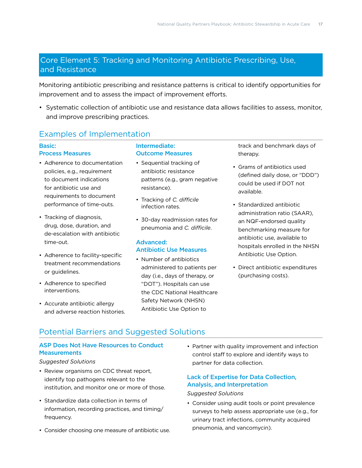## <span id="page-18-1"></span><span id="page-18-0"></span>Core Element 5: Tracking and Monitoring Antibiotic Prescribing, Use, and Resistance

Monitoring antibiotic prescribing and resistance patterns is critical to identify opportunities for improvement and to assess the impact of improvement efforts.

• Systematic collection of antibiotic use and resistance data allows facilities to assess, monitor, and improve prescribing practices.

## Examples of Implementation

#### Basic:

#### Process Measures

- Adherence to documentation policies, e.g., requirement to document indications for antibiotic use and requirements to document performance of time-outs.
- Tracking of diagnosis, drug, dose, duration, and de-escalation with antibiotic time-out.
- Adherence to facility-specific treatment recommendations or guidelines.
- Adherence to specified interventions.
- Accurate antibiotic allergy and adverse reaction histories.

#### Intermediate: Outcome Measures

- Sequential tracking of antibiotic resistance patterns (e.g., gram negative resistance).
- Tracking of *C. difficile* infection rates.
- 30-day readmission rates for pneumonia and *C. difficile*.

#### Advanced: Antibiotic Use Measures

• Number of antibiotics administered to patients per day (i.e., days of therapy, or "DOT"). Hospitals can use the CDC National Healthcare Safety Network (NHSN) Antibiotic Use Option to

track and benchmark days of therapy.

- Grams of antibiotics used (defined daily dose, or "DDD") could be used if DOT not available.
- Standardized antibiotic administration ratio (SAAR), an NQF-endorsed quality benchmarking measure for antibiotic use, available to hospitals enrolled in the NHSN Antibiotic Use Option.
- Direct antibiotic expenditures (purchasing costs).

## Potential Barriers and Suggested Solutions

#### ASP Does Not Have Resources to Conduct **Measurements**

#### *Suggested Solutions*

- Review organisms on CDC threat report, identify top pathogens relevant to the institution, and monitor one or more of those.
- Standardize data collection in terms of information, recording practices, and timing/ frequency.
- Consider choosing one measure of antibiotic use.

• Partner with quality improvement and infection control staff to explore and identify ways to partner for data collection.

#### Lack of Expertise for Data Collection, Analysis, and Interpretation

#### *Suggested Solutions*

• Consider using audit tools or point prevalence surveys to help assess appropriate use (e.g., for urinary tract infections, community acquired pneumonia, and vancomycin).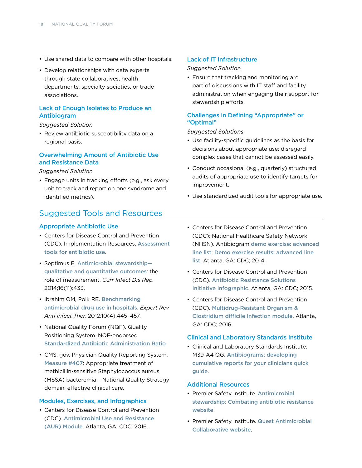- Use shared data to compare with other hospitals.
- Develop relationships with data experts through state collaboratives, health departments, specialty societies, or trade associations.

#### Lack of Enough Isolates to Produce an Antibiogram

#### *Suggested Solution*

• Review antibiotic susceptibility data on a regional basis.

#### Overwhelming Amount of Antibiotic Use and Resistance Data

#### *Suggested Solution*

• Engage units in tracking efforts (e.g., ask every unit to track and report on one syndrome and identified metrics).

### Suggested Tools and Resources

#### Appropriate Antibiotic Use

- Centers for Disease Control and Prevention (CDC). Implementation Resources. [Assessment](http://www.cdc.gov/getsmart/healthcare/implementation.html)  [tools for antibiotic use](http://www.cdc.gov/getsmart/healthcare/implementation.html).
- Septimus E. [Antimicrobial stewardship](http://dx.doi.org/10.1007/s11908-014-0433-x) [qualitative and quantitative outcomes](http://dx.doi.org/10.1007/s11908-014-0433-x): the role of measurement. *Curr Infect Dis Rep.*  2014;16(11):433.
- Ibrahim OM, Polk RE. [Benchmarking](http://dx.doi.org/10.1586/eri.12.18)  [antimicrobial drug use in hospitals](http://dx.doi.org/10.1586/eri.12.18). *Expert Rev Anti Infect Ther.* 2012;10(4):445–457.
- National Quality Forum (NQF). Quality Positioning System. NQF-endorsed [Standardized Antibiotic Administration Ratio](http://www.qualityforum.org/QPS/2720)
- CMS. gov. Physician Quality Reporting System. [Measure #407](https://pqrs.cms.gov/dataset/2016-PQRS-Measure-407-11-17-2015/m66s-yxfb): Appropriate treatment of methicillin-sensitive Staphylococcus aureus (MSSA) bacteremia – National Quality Strategy domain: effective clinical care.

#### Modules, Exercises, and Infographics

• Centers for Disease Control and Prevention (CDC). [Antimicrobial Use and Resistance](http://www.cdc.gov/nhsn/PDFs/pscManual/11pscAURcurrent.pdf)  [\(AUR\) Module](http://www.cdc.gov/nhsn/PDFs/pscManual/11pscAURcurrent.pdf). Atlanta, GA: CDC: 2016.

#### Lack of IT Infrastructure

#### *Suggested Solution*

• Ensure that tracking and monitoring are part of discussions with IT staff and facility administration when engaging their support for stewardship efforts.

#### Challenges in Defining "Appropriate" or "Optimal"

#### *Suggested Solutions*

- Use facility-specific guidelines as the basis for decisions about appropriate use; disregard complex cases that cannot be assessed easily.
- Conduct occasional (e.g., quarterly) structured audits of appropriate use to identify targets for improvement.
- Use standardized audit tools for appropriate use.
- Centers for Disease Control and Prevention (CDC); National Healthcare Safety Network (NHSN). Antibiogram [demo exercise](http://www.cdc.gov/nhsn/PDFs/demo/2-AdvancedLineList.pdf): advanced line list; [Demo exercise results](http://www.cdc.gov/nhsn/PDFs/demo/2-AdvancedLineList-Solution.pdf): advanced line list. Atlanta, GA: CDC; 2014.
- Centers for Disease Control and Prevention (CDC). [Antibiotic Resistance Solutions](http://www.cdc.gov/drugresistance/pdf/ar-nhsn.pdf)  [Initiative Infographic](http://www.cdc.gov/drugresistance/pdf/ar-nhsn.pdf). Atlanta, GA: CDC; 2015.
- Centers for Disease Control and Prevention (CDC). [Multidrug-Resistant Organism &](http://www.cdc.gov/nhsn/PDFs/pscManual/12pscMDRO_CDADcurrent.pdf)  [Clostridium difficile Infection module](http://www.cdc.gov/nhsn/PDFs/pscManual/12pscMDRO_CDADcurrent.pdf). Atlanta, GA: CDC; 2016.

#### Clinical and Laboratory Standards Institute

• Clinical and Laboratory Standards Institute. M39-A4 QG. [Antibiograms: developing](http://shop.clsi.org/microbiology-companion-products/M39-A4_3.html)  [cumulative reports for your clinicians quick](http://shop.clsi.org/microbiology-companion-products/M39-A4_3.html)  [guide](http://shop.clsi.org/microbiology-companion-products/M39-A4_3.html).

#### Additional Resources

- Premier Safety Institute. [Antimicrobial](http://www.premierinc.com/antibiotics)  [stewardship: Combating antibiotic resistance](http://www.premierinc.com/antibiotics)  [website](http://www.premierinc.com/antibiotics).
- Premier Safety Institute. [Quest Antimicrobial](http://www.premiersafetyinstitute.org/safety-topics-az/antimicrobial-stewardship/quest-antimicrobial-collaborative/)  [Collaborative website](http://www.premiersafetyinstitute.org/safety-topics-az/antimicrobial-stewardship/quest-antimicrobial-collaborative/).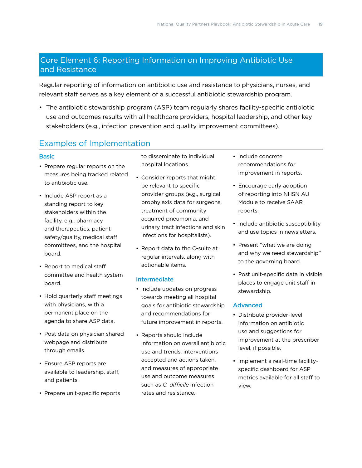## <span id="page-20-1"></span><span id="page-20-0"></span>Core Element 6: Reporting Information on Improving Antibiotic Use and Resistance

Regular reporting of information on antibiotic use and resistance to physicians, nurses, and relevant staff serves as a key element of a successful antibiotic stewardship program.

• The antibiotic stewardship program (ASP) team regularly shares facility-specific antibiotic use and outcomes results with all healthcare providers, hospital leadership, and other key stakeholders (e.g., infection prevention and quality improvement committees).

## Examples of Implementation

#### **Basic**

- Prepare regular reports on the measures being tracked related to antibiotic use.
- Include ASP report as a standing report to key stakeholders within the facility, e.g., pharmacy and therapeutics, patient safety/quality, medical staff committees, and the hospital board.
- Report to medical staff committee and health system board.
- Hold quarterly staff meetings with physicians, with a permanent place on the agenda to share ASP data.
- Post data on physician shared webpage and distribute through emails.
- Ensure ASP reports are available to leadership, staff, and patients.
- Prepare unit-specific reports

to disseminate to individual hospital locations.

- Consider reports that might be relevant to specific provider groups (e.g., surgical prophylaxis data for surgeons, treatment of community acquired pneumonia, and urinary tract infections and skin infections for hospitalists).
- Report data to the C-suite at regular intervals, along with actionable items.

#### Intermediate

- Include updates on progress towards meeting all hospital goals for antibiotic stewardship and recommendations for future improvement in reports.
- Reports should include information on overall antibiotic use and trends, interventions accepted and actions taken, and measures of appropriate use and outcome measures such as *C. difficile* infection rates and resistance.
- Include concrete recommendations for improvement in reports.
- Encourage early adoption of reporting into NHSN AU Module to receive SAAR reports.
- Include antibiotic susceptibility and use topics in newsletters.
- Present "what we are doing and why we need stewardship" to the governing board.
- Post unit-specific data in visible places to engage unit staff in stewardship.

#### Advanced

- Distribute provider-level information on antibiotic use and suggestions for improvement at the prescriber level, if possible.
- Implement a real-time facilityspecific dashboard for ASP metrics available for all staff to view.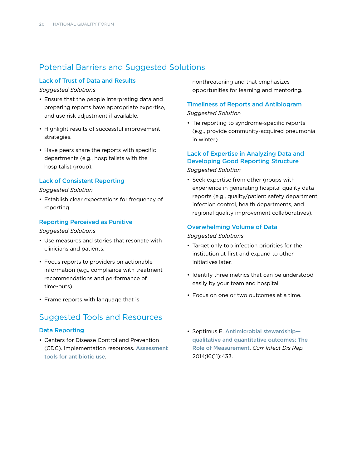## Potential Barriers and Suggested Solutions

#### Lack of Trust of Data and Results

#### *Suggested Solutions*

- Ensure that the people interpreting data and preparing reports have appropriate expertise, and use risk adjustment if available.
- Highlight results of successful improvement strategies.
- Have peers share the reports with specific departments (e.g., hospitalists with the hospitalist group).

#### Lack of Consistent Reporting

#### *Suggested Solution*

• Establish clear expectations for frequency of reporting.

#### Reporting Perceived as Punitive

#### *Suggested Solutions*

- Use measures and stories that resonate with clinicians and patients.
- Focus reports to providers on actionable information (e.g., compliance with treatment recommendations and performance of time-outs).
- Frame reports with language that is

## Suggested Tools and Resources

#### Data Reporting

• Centers for Disease Control and Prevention (CDC). Implementation resources. [Assessment](http://www.cdc.gov/getsmart/healthcare/implementation.html)  [tools for antibiotic use](http://www.cdc.gov/getsmart/healthcare/implementation.html).

nonthreatening and that emphasizes opportunities for learning and mentoring.

#### Timeliness of Reports and Antibiogram

#### *Suggested Solution*

• Tie reporting to syndrome-specific reports (e.g., provide community-acquired pneumonia in winter).

#### Lack of Expertise in Analyzing Data and Developing Good Reporting Structure

*Suggested Solution*

• Seek expertise from other groups with experience in generating hospital quality data reports (e.g., quality/patient safety department, infection control, health departments, and regional quality improvement collaboratives).

#### Overwhelming Volume of Data

#### *Suggested Solutions*

- Target only top infection priorities for the institution at first and expand to other initiatives later.
- Identify three metrics that can be understood easily by your team and hospital.
- Focus on one or two outcomes at a time.
- Septimus E. [Antimicrobial stewardship](http://dx.doi.org/10.1007/s11908-014-0433-x) [qualitative and quantitative outcomes: The](http://dx.doi.org/10.1007/s11908-014-0433-x)  [Role of Measurement](http://dx.doi.org/10.1007/s11908-014-0433-x). *Curr Infect Dis Rep.*  2014;16(11):433.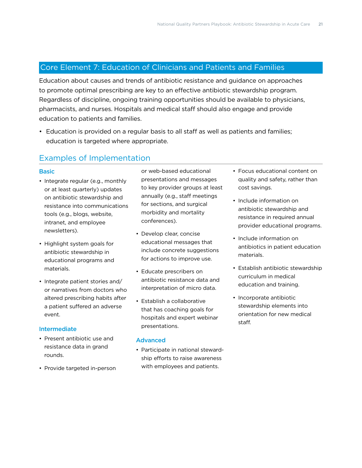## <span id="page-22-1"></span><span id="page-22-0"></span>Core Element 7: Education of Clinicians and Patients and Families

Education about causes and trends of antibiotic resistance and guidance on approaches to promote optimal prescribing are key to an effective antibiotic stewardship program. Regardless of discipline, ongoing training opportunities should be available to physicians, pharmacists, and nurses. Hospitals and medical staff should also engage and provide education to patients and families.

• Education is provided on a regular basis to all staff as well as patients and families; education is targeted where appropriate.

### Examples of Implementation

#### **Basic**

- Integrate regular (e.g., monthly or at least quarterly) updates on antibiotic stewardship and resistance into communications tools (e.g., blogs, website, intranet, and employee newsletters).
- Highlight system goals for antibiotic stewardship in educational programs and materials.
- Integrate patient stories and/ or narratives from doctors who altered prescribing habits after a patient suffered an adverse event.

#### Intermediate

- Present antibiotic use and resistance data in grand rounds.
- Provide targeted in-person

or web-based educational presentations and messages to key provider groups at least annually (e.g., staff meetings for sections, and surgical morbidity and mortality conferences).

- Develop clear, concise educational messages that include concrete suggestions for actions to improve use.
- Educate prescribers on antibiotic resistance data and interpretation of micro data.
- Establish a collaborative that has coaching goals for hospitals and expert webinar presentations.

#### Advanced

• Participate in national stewardship efforts to raise awareness with employees and patients.

- Focus educational content on quality and safety, rather than cost savings.
- Include information on antibiotic stewardship and resistance in required annual provider educational programs.
- Include information on antibiotics in patient education materials.
- Establish antibiotic stewardship curriculum in medical education and training.
- Incorporate antibiotic stewardship elements into orientation for new medical staff.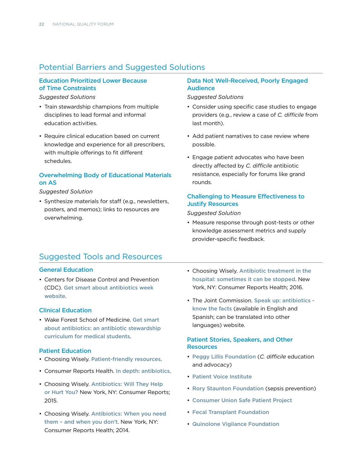## Potential Barriers and Suggested Solutions

#### Education Prioritized Lower Because of Time Constraints

*Suggested Solutions*

- Train stewardship champions from multiple disciplines to lead formal and informal education activities.
- Require clinical education based on current knowledge and experience for all prescribers, with multiple offerings to fit different schedules.

#### Overwhelming Body of Educational Materials on AS

#### *Suggested Solution*

• Synthesize materials for staff (e.g., newsletters, posters, and memos); links to resources are overwhelming.

#### Data Not Well-Received, Poorly Engaged Audience

*Suggested Solutions*

- Consider using specific case studies to engage providers (e.g., review a case of *C. difficile* from last month).
- Add patient narratives to case review where possible.
- Engage patient advocates who have been directly affected by *C. difficile* antibiotic resistance, especially for forums like grand rounds.

#### Challenging to Measure Effectiveness to Justify Resources

*Suggested Solution*

• Measure response through post-tests or other knowledge assessment metrics and supply provider-specific feedback.

### Suggested Tools and Resources

#### General Education

• Centers for Disease Control and Prevention (CDC). [Get smart about antibiotics week](http://www.cdc.gov/getsmart/week/)  [website](http://www.cdc.gov/getsmart/week/).

#### Clinical Education

• Wake Forest School of Medicine. [Get smart](http://www.wakehealth.edu/AS-Curriculum/)  [about antibiotics: an antibiotic stewardship](http://www.wakehealth.edu/AS-Curriculum/)  [curriculum for medical students](http://www.wakehealth.edu/AS-Curriculum/).

#### Patient Education

- Choosing Wisely. [Patient-friendly resources](http://www.choosingwisely.org/patient-resources/).
- Consumer Reports Health. [In depth: antibiotics](http://consumerhealthchoices.org/depth-antibiotics/).
- Choosing Wisely. [Antibiotics: Will They Help](http://consumerhealthchoices.org/wp-content/uploads/2015/02/3AntibioticsTri-Fold_DownloadGenericFINAL.pdf)  [or Hurt You?](http://consumerhealthchoices.org/wp-content/uploads/2015/02/3AntibioticsTri-Fold_DownloadGenericFINAL.pdf) New York, NY: Consumer Reports; 2015.
- Choosing Wisely. [Antibiotics: When you need](http://consumerhealthchoices.org/wp-content/uploads/2014/02/ChoosingWiselyAntibioticsRoundup.pdf)  [them – and when you don't](http://consumerhealthchoices.org/wp-content/uploads/2014/02/ChoosingWiselyAntibioticsRoundup.pdf). New York, NY: Consumer Reports Health; 2014.
- Choosing Wisely. [Antibiotic treatment in the](http://consumerhealthchoices.org/wp-content/uploads/2016/02/ChoosingWiselyAntibioticsHospitalSHEA-ER.pdf)  [hospital: sometimes it can be stopped](http://consumerhealthchoices.org/wp-content/uploads/2016/02/ChoosingWiselyAntibioticsHospitalSHEA-ER.pdf). New York, NY: Consumer Reports Health; 2016.
- The Joint Commission. [Speak up: antibiotics](http://www.jointcommission.org/topics/speakup_antibiotics.aspx)  [know the facts](http://www.jointcommission.org/topics/speakup_antibiotics.aspx) (available in English and Spanish; can be translated into other languages) website.

#### Patient Stories, Speakers, and Other **Resources**

- [Peggy Lillis Foundation](http://peggyfoundation.org/) (*C. difficile* education and advocacy)
- [Patient Voice Institute](http://gopvi.org/)
- [Rory Staunton Foundation](https://rorystauntonfoundationforsepsis.org/) (sepsis prevention)
- [Consumer Union Safe Patient Project](http://safepatientproject.org/)
- [Fecal Transplant Foundation](http://thefecaltransplantfoundation.org/)
- [Quinolone Vigilance Foundation](http://www.saferpills.org/)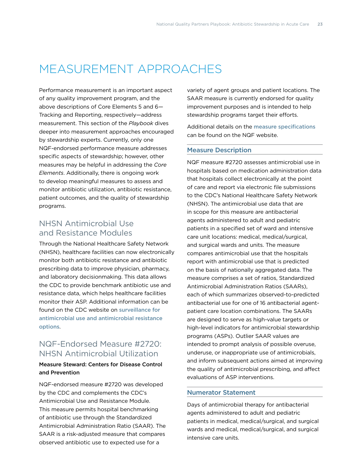## <span id="page-24-0"></span>MEASUREMENT APPROACHES

Performance measurement is an important aspect of any quality improvement program, and the above descriptions of Core Elements 5 and 6— Tracking and Reporting, respectively—address measurement. This section of the *Playbook* dives deeper into measurement approaches encouraged by stewardship experts. Currently, only one NQF-endorsed performance measure addresses specific aspects of stewardship; however, other measures may be helpful in addressing the *Core Elements*. Additionally, there is ongoing work to develop meaningful measures to assess and monitor antibiotic utilization, antibiotic resistance, patient outcomes, and the quality of stewardship programs.

## NHSN Antimicrobial Use and Resistance Modules

Through the National Healthcare Safety Network (NHSN), healthcare facilities can now electronically monitor both antibiotic resistance and antibiotic prescribing data to improve physician, pharmacy, and laboratory decisionmaking. This data allows the CDC to provide benchmark antibiotic use and resistance data, which helps healthcare facilities monitor their ASP. Additional information can be found on the CDC website on [surveillance for](http://www.cdc.gov/nhsn/acute-care-hospital/aur/)  [antimicrobial use and antimicrobial resistance](http://www.cdc.gov/nhsn/acute-care-hospital/aur/)  [options](http://www.cdc.gov/nhsn/acute-care-hospital/aur/).

## NQF-Endorsed Measure #2720: NHSN Antimicrobial Utilization

#### Measure Steward: Centers for Disease Control and Prevention

NQF-endorsed measure #2720 was developed by the CDC and complements the CDC's Antimicrobial Use and Resistance Module. This measure permits hospital benchmarking of antibiotic use through the Standardized Antimicrobial Administration Ratio (SAAR). The SAAR is a risk-adjusted measure that compares observed antibiotic use to expected use for a

variety of agent groups and patient locations. The SAAR measure is currently endorsed for quality improvement purposes and is intended to help stewardship programs target their efforts.

Additional details on the [measure specifications](http://www.qualityforum.org/QPS/2720) can be found on the NQF website.

#### Measure Description

NQF measure #2720 assesses antimicrobial use in hospitals based on medication administration data that hospitals collect electronically at the point of care and report via electronic file submissions to the CDC's National Healthcare Safety Network (NHSN). The antimicrobial use data that are in scope for this measure are antibacterial agents administered to adult and pediatric patients in a specified set of ward and intensive care unit locations: medical, medical/surgical, and surgical wards and units. The measure compares antimicrobial use that the hospitals report with antimicrobial use that is predicted on the basis of nationally aggregated data. The measure comprises a set of ratios, Standardized Antimicrobial Administration Ratios (SAARs), each of which summarizes observed-to-predicted antibacterial use for one of 16 antibacterial agentpatient care location combinations. The SAARs are designed to serve as high-value targets or high-level indicators for antimicrobial stewardship programs (ASPs). Outlier SAAR values are intended to prompt analysis of possible overuse, underuse, or inappropriate use of antimicrobials, and inform subsequent actions aimed at improving the quality of antimicrobial prescribing, and affect evaluations of ASP interventions.

#### Numerator Statement

Days of antimicrobial therapy for antibacterial agents administered to adult and pediatric patients in medical, medical/surgical, and surgical wards and medical, medical/surgical, and surgical intensive care units.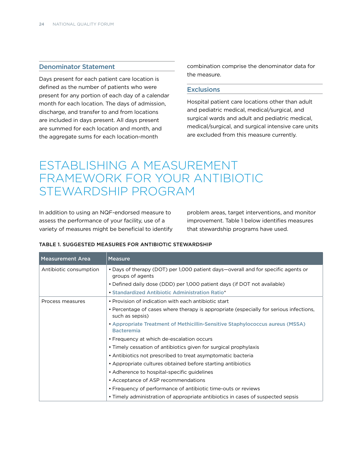#### <span id="page-25-0"></span>Denominator Statement

Days present for each patient care location is defined as the number of patients who were present for any portion of each day of a calendar month for each location. The days of admission, discharge, and transfer to and from locations are included in days present. All days present are summed for each location and month, and the aggregate sums for each location-month

combination comprise the denominator data for the measure.

#### **Exclusions**

Hospital patient care locations other than adult and pediatric medical, medical/surgical, and surgical wards and adult and pediatric medical, medical/surgical, and surgical intensive care units are excluded from this measure currently.

## ESTABLISHING A MEASUREMENT FRAMEWORK FOR YOUR ANTIBIOTIC STEWARDSHIP PROGRAM

In addition to using an NQF-endorsed measure to assess the performance of your facility, use of a variety of measures might be beneficial to identify problem areas, target interventions, and monitor improvement. Table 1 below identifies measures that stewardship programs have used.

| <b>Measurement Area</b> | <b>Measure</b>                                                                                            |
|-------------------------|-----------------------------------------------------------------------------------------------------------|
| Antibiotic consumption  | • Days of therapy (DOT) per 1,000 patient days—overall and for specific agents or<br>groups of agents     |
|                         | • Defined daily dose (DDD) per 1,000 patient days (if DOT not available)                                  |
|                         | • Standardized Antibiotic Administration Ratio*                                                           |
| Process measures        | • Provision of indication with each antibiotic start                                                      |
|                         | • Percentage of cases where therapy is appropriate (especially for serious infections,<br>such as sepsis) |
|                         | • Appropriate Treatment of Methicillin-Sensitive Staphylococcus aureus (MSSA)<br><b>Bacteremia</b>        |
|                         | • Frequency at which de-escalation occurs                                                                 |
|                         | • Timely cessation of antibiotics given for surgical prophylaxis                                          |
|                         | • Antibiotics not prescribed to treat asymptomatic bacteria                                               |
|                         | • Appropriate cultures obtained before starting antibiotics                                               |
|                         | • Adherence to hospital-specific guidelines                                                               |
|                         | • Acceptance of ASP recommendations                                                                       |
|                         | • Frequency of performance of antibiotic time-outs or reviews                                             |
|                         | • Timely administration of appropriate antibiotics in cases of suspected sepsis                           |

#### TABLE 1. SUGGESTED MEASURES FOR ANTIBIOTIC STEWARDSHIP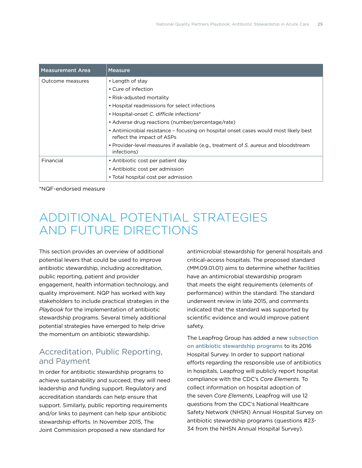<span id="page-26-0"></span>

| Measurement Area | <b>Measure</b>                                                                                                     |
|------------------|--------------------------------------------------------------------------------------------------------------------|
| Outcome measures | • Length of stay                                                                                                   |
|                  | • Cure of infection                                                                                                |
|                  | • Risk-adjusted mortality                                                                                          |
|                  | • Hospital readmissions for select infections                                                                      |
|                  | • Hospital-onset C. difficile infections*                                                                          |
|                  | • Adverse drug reactions (number/percentage/rate)                                                                  |
|                  | • Antimicrobial resistance - focusing on hospital onset cases would most likely best<br>reflect the impact of ASPs |
|                  | • Provider-level measures if available (e.g., treatment of S. aureus and bloodstream<br>infections)                |
| Financial        | • Antibiotic cost per patient day                                                                                  |
|                  | • Antibiotic cost per admission                                                                                    |
|                  | • Total hospital cost per admission                                                                                |

\*NQF-endorsed measure

## ADDITIONAL POTENTIAL STRATEGIES AND FUTURE DIRECTIONS

This section provides an overview of additional potential levers that could be used to improve antibiotic stewardship, including accreditation, public reporting, patient and provider engagement, health information technology, and quality improvement. NQP has worked with key stakeholders to include practical strategies in the *Playbook* for the implementation of antibiotic stewardship programs. Several timely additional potential strategies have emerged to help drive the momentum on antibiotic stewardship.

## Accreditation, Public Reporting, and Payment

In order for antibiotic stewardship programs to achieve sustainability and succeed, they will need leadership and funding support. Regulatory and accreditation standards can help ensure that support. Similarly, public reporting requirements and/or links to payment can help spur antibiotic stewardship efforts. In November 2015, The Joint Commission proposed a new standard for

antimicrobial stewardship for general hospitals and critical-access hospitals. The proposed standard (MM.09.01.01) aims to determine whether facilities have an antimicrobial stewardship program that meets the eight requirements (elements of performance) within the standard. The standard underwent review in late 2015, and comments indicated that the standard was supported by scientific evidence and would improve patient safety.

The Leapfrog Group has added a new [subsection](http://www.leapfroggroup.org/sites/default/files/Files/What)  [on antibiotic stewardship programs](http://www.leapfroggroup.org/sites/default/files/Files/What) to its 2016 Hospital Survey. In order to support national efforts regarding the responsible use of antibiotics in hospitals, Leapfrog will publicly report hospital compliance with the CDC's *Core Elements*. To collect information on hospital adoption of the seven *Core Elements*, Leapfrog will use 12 questions from the CDC's National Healthcare Safety Network (NHSN) Annual Hospital Survey on antibiotic stewardship programs (questions #23- 34 from the [NHSN Annual Hospital Survey\)](http://www.cdc.gov/nhsn/forms/57.103_pshospsurv_blank.pdf).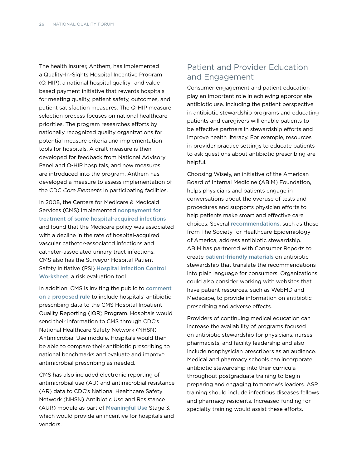<span id="page-27-0"></span>The health insurer, Anthem, has implemented a Quality-In-Sights Hospital Incentive Program (Q-HIP), a national hospital quality- and valuebased payment initiative that rewards hospitals for meeting quality, patient safety, outcomes, and patient satisfaction measures. The Q-HIP measure selection process focuses on national healthcare priorities. The program researches efforts by nationally recognized quality organizations for potential measure criteria and implementation tools for hospitals. A draft measure is then developed for feedback from National Advisory Panel and Q-HIP hospitals, and new measures are introduced into the program. Anthem has developed a measure to assess implementation of the CDC *Core Elements* in participating facilities.

In 2008, the Centers for Medicare & Medicaid Services (CMS) implemented nonpayment for [treatment of some hospital-acquired infections](https://www.cms.gov/mmrr/Downloads/MMRR2013_003_03_a08.pdf) and found that the Medicare policy was associated with a decline in the rate of hospital-acquired vascular catheter-associated infections and catheter-associated urinary tract infections. CMS also has the Surveyor Hospital Patient Safety Initiative (PSI) [Hospital Infection Control](https://www.cms.gov/Medicare/Provider-Enrollment-and-Certification/SurveyCertificationGenInfo/Downloads/Survey-and-Cert-Letter-15-12-Attachment-1.pdf)  [Worksheet](https://www.cms.gov/Medicare/Provider-Enrollment-and-Certification/SurveyCertificationGenInfo/Downloads/Survey-and-Cert-Letter-15-12-Attachment-1.pdf), a risk evaluation tool.

In addition, CMS is inviting the public to comment [on a proposed rule](https://federalregister.gov/a/2016-09120) to include hospitals' antibiotic prescribing data to the CMS Hospital Inpatient Quality Reporting (IQR) Program. Hospitals would send their information to CMS through CDC's National Healthcare Safety Network (NHSN) Antimicrobial Use module. Hospitals would then be able to compare their antibiotic prescribing to national benchmarks and evaluate and improve antimicrobial prescribing as needed.

CMS has also included electronic reporting of antimicrobial use (AU) and antimicrobial resistance (AR) data to CDC's National Healthcare Safety Network (NHSN) Antibiotic Use and Resistance (AUR) module as part of [Meaningful Use](http://www.cdc.gov/ehrmeaningfuluse/) Stage 3, which would provide an incentive for hospitals and vendors.

## Patient and Provider Education and Engagement

Consumer engagement and patient education play an important role in achieving appropriate antibiotic use. Including the patient perspective in antibiotic stewardship programs and educating patients and caregivers will enable patients to be effective partners in stewardship efforts and improve health literacy. For example, resources in provider practice settings to educate patients to ask questions about antibiotic prescribing are helpful.

Choosing Wisely, an initiative of the American Board of Internal Medicine (ABIM) Foundation, helps physicians and patients engage in conversations about the overuse of tests and procedures and supports physician efforts to help patients make smart and effective care choices. Several [recommendations](http://consumerhealthchoices.org/wp-content/uploads/2016/02/ChoosingWiselyAntibioticsHospitalSHEA-ER.pdf), such as those from The Society for Healthcare Epidemiology of America, address antibiotic stewardship. ABIM has partnered with Consumer Reports to create [patient-friendly materials](http://consumerhealthchoices.org/depth-antibiotics/) on antibiotic stewardship that translate the recommendations into plain language for consumers. Organizations could also consider working with websites that have patient resources, such as WebMD and Medscape, to provide information on antibiotic prescribing and adverse effects.

Providers of continuing medical education can increase the availability of programs focused on antibiotic stewardship for physicians, nurses, pharmacists, and facility leadership and also include nonphysician prescribers as an audience. Medical and pharmacy schools can incorporate antibiotic stewardship into their curricula throughout postgraduate training to begin preparing and engaging tomorrow's leaders. ASP training should include infectious diseases fellows and pharmacy residents. Increased funding for specialty training would assist these efforts.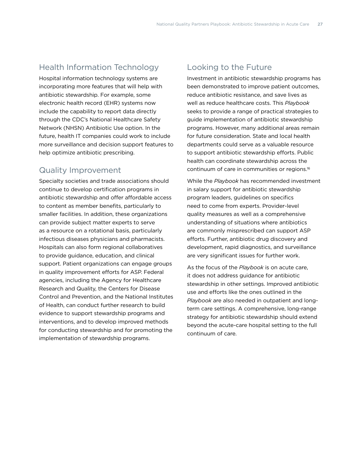### <span id="page-28-0"></span>Health Information Technology

Hospital information technology systems are incorporating more features that will help with antibiotic stewardship. For example, some electronic health record (EHR) systems now include the capability to report data directly through the CDC's National Healthcare Safety Network (NHSN) Antibiotic Use option. In the future, health IT companies could work to include more surveillance and decision support features to help optimize antibiotic prescribing.

### Quality Improvement

Specialty societies and trade associations should continue to develop certification programs in antibiotic stewardship and offer affordable access to content as member benefits, particularly to smaller facilities. In addition, these organizations can provide subject matter experts to serve as a resource on a rotational basis, particularly infectious diseases physicians and pharmacists. Hospitals can also form regional collaboratives to provide guidance, education, and clinical support. Patient organizations can engage groups in quality improvement efforts for ASP. Federal agencies, including the Agency for Healthcare Research and Quality, the Centers for Disease Control and Prevention, and the National Institutes of Health, can conduct further research to build evidence to support stewardship programs and interventions, and to develop improved methods for conducting stewardship and for promoting the implementation of stewardship programs.

### Looking to the Future

Investment in antibiotic stewardship programs has been demonstrated to improve patient outcomes, reduce antibiotic resistance, and save lives as well as reduce healthcare costs. This *Playbook* seeks to provide a range of practical strategies to guide implementation of antibiotic stewardship programs. However, many additional areas remain for future consideration. State and local health departments could serve as a valuable resource to support antibiotic stewardship efforts. Public health can coordinate stewardship across the continuum of care in communities or regions[.16](#page-29-15)

While the *Playbook* has recommended investment in salary support for antibiotic stewardship program leaders, guidelines on specifics need to come from experts. Provider-level quality measures as well as a comprehensive understanding of situations where antibiotics are commonly misprescribed can support ASP efforts. Further, antibiotic drug discovery and development, rapid diagnostics, and surveillance are very significant issues for further work.

As the focus of the *Playbook* is on acute care, it does not address guidance for antibiotic stewardship in other settings. Improved antibiotic use and efforts like the ones outlined in the *Playbook* are also needed in outpatient and longterm care settings. A comprehensive, long-range strategy for antibiotic stewardship should extend beyond the acute-care hospital setting to the full continuum of care.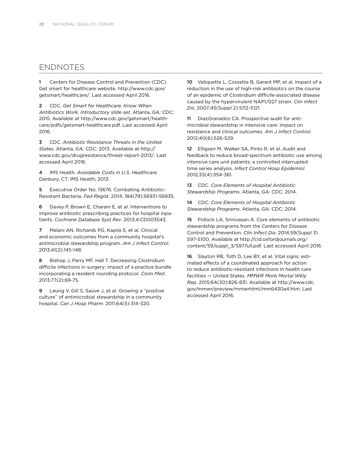### **ENDNOTES**

<span id="page-29-0"></span>1 Centers for Disease Control and Prevention (CDC). Get smart for healthcare website. [http://www.cdc.gov/](http://www.cdc.gov/getsmart/healthcare/) [getsmart/healthcare/](http://www.cdc.gov/getsmart/healthcare/). Last accessed April 2016.

<span id="page-29-1"></span>2 CDC. *Get Smart for Healthcare. Know When Antibiotics Work. Introductory slide set*. Atlanta, GA: CDC; 2015. Available at [http://www.cdc.gov/getsmart/health](http://www.cdc.gov/getsmart/healthcare/pdfs/getsmart-healthcare.pdf)[care/pdfs/getsmart-healthcare.pdf.](http://www.cdc.gov/getsmart/healthcare/pdfs/getsmart-healthcare.pdf) Last accessed April 2016.

<span id="page-29-2"></span>3 CDC. *Antibiotic Resistance Threats in the United States*. Atlanta, GA: CDC; 2013. Available at [http://](http://www.cdc.gov/drugresistance/threat-report-2013/) [www.cdc.gov/drugresistance/threat-report-2013/.](http://www.cdc.gov/drugresistance/threat-report-2013/) Last accessed April 2016.

<span id="page-29-3"></span>4 IMS Health. *Avoidable Costs in U.S. Healthcare.* Danbury, CT: IMS Health; 2013.

<span id="page-29-4"></span>5 Executive Order No. 13676. Combating Antibiotic-Resistant Bacteria. *Fed Regist*. 2014; 184(79):56931-56935.

<span id="page-29-5"></span>6 Davey P, Brown E, Charani E, et al. Interventions to improve antibiotic prescribing practices for hospital inpatients. *Cochrane Database Syst Rev*. 2013;4:CD003543.

<span id="page-29-6"></span>7 Malani AN, Richards PG, Kapila S, et al. Clinical and economic outcomes from a community hospital's antimicrobial stewardship program. *Am J Infect Control*. 2013;41(2):145-148.

<span id="page-29-7"></span>8 Bishop J, Parry MF, Hall T. Decreasing Clostridium difficile infections in surgery: impact of a practice bundle incorporating a resident rounding protocol. *Conn Med*. 2013;77(2):69-75.

<span id="page-29-8"></span>9 Leung V, Gill S, Sauve J, et al. Growing a "positive culture" of antimicrobial stewardship in a community hospital. *Can J Hosp Pharm*. 2011;64(5):314-320.

<span id="page-29-9"></span>10 Valiquette L, Cossette B, Garant MP, et al. Impact of a reduction in the use of high-risk antibiotics on the course of an epidemic of Clostridium difficile-associated disease caused by the hypervirulent NAP1/027 strain. *Clin Infect Dis*. 2007;45(Suppl 2):S112-S121.

<span id="page-29-10"></span>11 DiazGranados CA. Prospective audit for antimicrobial stewardship in intensive care: impact on resistance and clinical outcomes. *Am J Infect Control*. 2012;40(6):526-529.

<span id="page-29-11"></span>12 Elligsen M, Walker SA, Pinto R, et al. Audit and feedback to reduce broad-spectrum antibiotic use among intensive care unit patients: a controlled interrupted time series analysis. *Infect Control Hosp Epidemiol*. 2012;33(4):354-361.

<span id="page-29-12"></span>13 CDC. *Core Elements of Hospital Antibiotic Stewardship Programs*. Atlanta, GA: CDC; 2014.

<span id="page-29-13"></span>14 CDC. *Core Elements of Hospital Antibiotic Stewardship Programs*. Atlanta, GA: CDC; 2014.

<span id="page-29-14"></span>15 Pollock LA, Srinivasan A. Core elements of antibiotic stewardship programs from the Centers for Disease Control and Prevention. *Clin Infect Dis*. 2014;59(Suppl 3) S97-S100. Available at [http://cid.oxfordjournals.org/](http://cid.oxfordjournals.org/content/59/suppl_3/S97.full.pdf) [content/59/suppl\\_3/S97.full.pdf.](http://cid.oxfordjournals.org/content/59/suppl_3/S97.full.pdf) Last accessed April 2016.

<span id="page-29-15"></span>16 Slayton RB, Toth D, Lee BY, et al. Vital signs: estimated effects of a coordinated approach for action to reduce antibiotic-resistant infections in health care facilities — United States. *MMWR Morb Mortal Wkly Rep*. 2015;64(30):826-831. Available at [http://www.cdc.](http://www.cdc.gov/mmwr/preview/mmwrhtml/mm6430a4.htm) [gov/mmwr/preview/mmwrhtml/mm6430a4.htm](http://www.cdc.gov/mmwr/preview/mmwrhtml/mm6430a4.htm). Last accessed April 2016.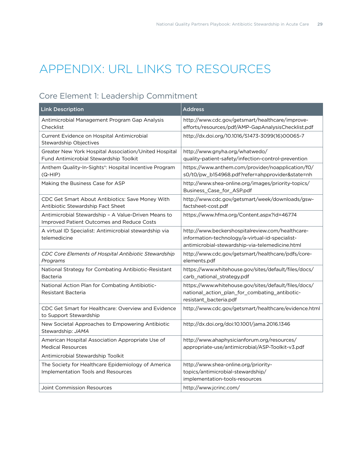## <span id="page-30-0"></span>APPENDIX: URL LINKS TO RESOURCES

## Core Element 1: Leadership Commitment

| <b>Link Description</b>                                                                                  | <b>Address</b>                                                                                                                                         |
|----------------------------------------------------------------------------------------------------------|--------------------------------------------------------------------------------------------------------------------------------------------------------|
| Antimicrobial Management Program Gap Analysis<br>Checklist                                               | http://www.cdc.gov/getsmart/healthcare/improve-<br>efforts/resources/pdf/AMP-GapAnalysisChecklist.pdf                                                  |
| Current Evidence on Hospital Antimicrobial<br><b>Stewardship Objectives</b>                              | http://dx.doi.org/10.1016/S1473-3099(16)00065-7                                                                                                        |
| Greater New York Hospital Association/United Hospital<br>Fund Antimicrobial Stewardship Toolkit          | http://www.gnyha.org/whatwedo/<br>quality-patient-safety/infection-control-prevention                                                                  |
| Anthem Quality-In-Sights®: Hospital Incentive Program<br>(Q-HIP)                                         | https://www.anthem.com/provider/noapplication/f0/<br>s0/t0/pw_b154968.pdf?refer=ahpprovider&state=nh                                                   |
| Making the Business Case for ASP                                                                         | http://www.shea-online.org/images/priority-topics/<br>Business_Case_for_ASP.pdf                                                                        |
| CDC Get Smart About Antibiotics: Save Money With<br>Antibiotic Stewardship Fact Sheet                    | http://www.cdc.gov/getsmart/week/downloads/gsw-<br>factsheet-cost.pdf                                                                                  |
| Antimicrobial Stewardship - A Value-Driven Means to<br><b>Improved Patient Outcomes and Reduce Costs</b> | https://www.hfma.org/Content.aspx?id=46774                                                                                                             |
| A virtual ID Specialist: Antimicrobial stewardship via<br>telemedicine                                   | http://www.beckershospitalreview.com/healthcare-<br>information-technology/a-virtual-id-specialist-<br>antimicrobial-stewardship-via-telemedicine.html |
| CDC Core Elements of Hospital Antibiotic Stewardship<br>Programs                                         | http://www.cdc.gov/getsmart/healthcare/pdfs/core-<br>elements.pdf                                                                                      |
| National Strategy for Combating Antibiotic-Resistant<br>Bacteria                                         | https://www.whitehouse.gov/sites/default/files/docs/<br>carb_national_strategy.pdf                                                                     |
| National Action Plan for Combating Antibiotic-<br>Resistant Bacteria                                     | https://www.whitehouse.gov/sites/default/files/docs/<br>national_action_plan_for_combating_antibotic-<br>resistant_bacteria.pdf                        |
| CDC Get Smart for Healthcare: Overview and Evidence<br>to Support Stewardship                            | http://www.cdc.gov/getsmart/healthcare/evidence.html                                                                                                   |
| New Societal Approaches to Empowering Antibiotic<br>Stewardship: JAMA                                    | http://dx.doi.org/doi:10.1001/jama.2016.1346                                                                                                           |
| American Hospital Association Appropriate Use of<br><b>Medical Resources</b>                             | http://www.ahaphysicianforum.org/resources/<br>appropriate-use/antimicrobial/ASP-Toolkit-v3.pdf                                                        |
| Antimicrobial Stewardship Toolkit                                                                        |                                                                                                                                                        |
| The Society for Healthcare Epidemiology of America                                                       | http://www.shea-online.org/priority-                                                                                                                   |
| Implementation Tools and Resources                                                                       | topics/antimicrobial-stewardship/<br>implementation-tools-resources                                                                                    |
| Joint Commission Resources                                                                               | http://www.jcrinc.com/                                                                                                                                 |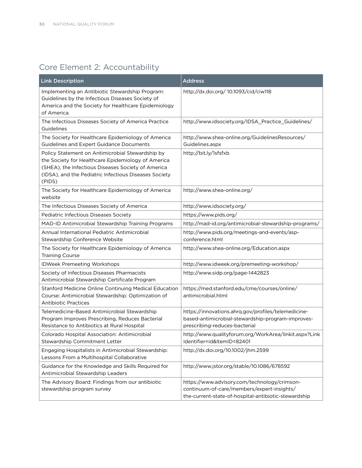## Core Element 2: Accountability

| <b>Link Description</b>                                                                                                                                                                                                         | <b>Address</b>                                                                                                                                     |
|---------------------------------------------------------------------------------------------------------------------------------------------------------------------------------------------------------------------------------|----------------------------------------------------------------------------------------------------------------------------------------------------|
| Implementing an Antibiotic Stewardship Program:<br>Guidelines by the Infectious Diseases Society of<br>America and the Society for Healthcare Epidemiology<br>of America.                                                       | http://dx.doi.org/ 10.1093/cid/ciw118                                                                                                              |
| The Infectious Diseases Society of America Practice<br>Guidelines                                                                                                                                                               | http://www.idsociety.org/IDSA_Practice_Guidelines/                                                                                                 |
| The Society for Healthcare Epidemiology of America<br>Guidelines and Expert Guidance Documents                                                                                                                                  | http://www.shea-online.org/GuidelinesResources/<br>Guidelines.aspx                                                                                 |
| Policy Statement on Antimicrobial Stewardship by<br>the Society for Healthcare Epidemiology of America<br>(SHEA), the Infectious Diseases Society of America<br>(IDSA), and the Pediatric Infectious Diseases Society<br>(PIDS) | http://bit.ly/1sfsfxb                                                                                                                              |
| The Society for Healthcare Epidemiology of America<br>website                                                                                                                                                                   | http://www.shea-online.org/                                                                                                                        |
| The Infectious Diseases Society of America                                                                                                                                                                                      | http://www.idsociety.org/                                                                                                                          |
| Pediatric Infectious Diseases Society                                                                                                                                                                                           | https://www.pids.org/                                                                                                                              |
| MAD-ID Antimicrobial Stewardship Training Programs                                                                                                                                                                              | http://mad-id.org/antimicrobial-stewardship-programs/                                                                                              |
| Annual International Pediatric Antimicrobial<br>Stewardship Conference Website                                                                                                                                                  | http://www.pids.org/meetings-and-events/asp-<br>conference.html                                                                                    |
| The Society for Healthcare Epidemiology of America<br><b>Training Course</b>                                                                                                                                                    | http://www.shea-online.org/Education.aspx                                                                                                          |
| <b>IDWeek Premeeting Workshops</b>                                                                                                                                                                                              | http://www.idweek.org/premeeting-workshop/                                                                                                         |
| Society of Infectious Diseases Pharmacists<br>Antimicrobial Stewardship Certificate Program                                                                                                                                     | http://www.sidp.org/page-1442823                                                                                                                   |
| Stanford Medicine Online Continuing Medical Education<br>Course: Antimicrobial Stewardship: Optimization of<br><b>Antibiotic Practices</b>                                                                                      | https://med.stanford.edu/cme/courses/online/<br>antimicrobial.html                                                                                 |
| Telemedicine-Based Antimicrobial Stewardship<br>Program Improves Prescribing, Reduces Bacterial<br>Resistance to Antibiotics at Rural Hospital                                                                                  | https://innovations.ahrq.gov/profiles/telemedicine-<br>based-antimicrobial-stewardship-program-improves-<br>prescribing-reduces-bacterial          |
| Colorado Hospital Association: Antimicrobial<br>Stewardship Commitment Letter                                                                                                                                                   | http://www.qualityforum.org/WorkArea/linkit.aspx?Link<br>Identifier=id&ItemID=82401                                                                |
| Engaging Hospitalists in Antimicrobial Stewardship:<br>Lessons From a Multihospital Collaborative                                                                                                                               | http://dx.doi.org/10.1002/jhm.2599                                                                                                                 |
| Guidance for the Knowledge and Skills Required for<br>Antimicrobial Stewardship Leaders                                                                                                                                         | http://www.jstor.org/stable/10.1086/678592                                                                                                         |
| The Advisory Board: Findings from our antibiotic<br>stewardship program survey                                                                                                                                                  | https://www.advisory.com/technology/crimson-<br>continuum-of-care/members/expert-insights/<br>the-current-state-of-hospital-antibiotic-stewardship |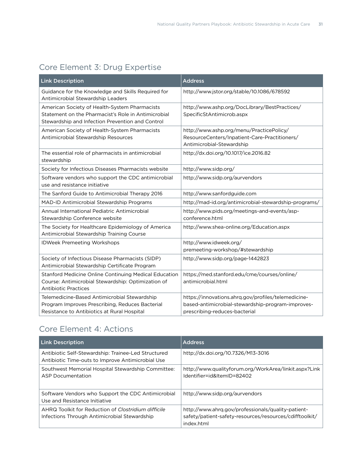## Core Element 3: Drug Expertise

| <b>Link Description</b>                                                                                                                                  | <b>Address</b>                                                                                                                            |
|----------------------------------------------------------------------------------------------------------------------------------------------------------|-------------------------------------------------------------------------------------------------------------------------------------------|
| Guidance for the Knowledge and Skills Required for<br>Antimicrobial Stewardship Leaders                                                                  | http://www.jstor.org/stable/10.1086/678592                                                                                                |
| American Society of Health-System Pharmacists<br>Statement on the Pharmacist's Role in Antimicrobial<br>Stewardship and Infection Prevention and Control | http://www.ashp.org/DocLibrary/BestPractices/<br>SpecificStAntimicrob.aspx                                                                |
| American Society of Health-System Pharmacists<br>Antimicrobial Stewardship Resources                                                                     | http://www.ashp.org/menu/PracticePolicy/<br>ResourceCenters/Inpatient-Care-Practitioners/<br>Antimicrobial-Stewardship                    |
| The essential role of pharmacists in antimicrobial<br>stewardship                                                                                        | http://dx.doi.org/10.1017/ice.2016.82                                                                                                     |
| Society for Infectious Diseases Pharmacists website                                                                                                      | http://www.sidp.org/                                                                                                                      |
| Software vendors who support the CDC antimicrobial<br>use and resistance initiative                                                                      | http://www.sidp.org/aurvendors                                                                                                            |
| The Sanford Guide to Antimicrobial Therapy 2016                                                                                                          | http://www.sanfordguide.com                                                                                                               |
| MAD-ID Antimicrobial Stewardship Programs                                                                                                                | http://mad-id.org/antimicrobial-stewardship-programs/                                                                                     |
| Annual International Pediatric Antimicrobial<br>Stewardship Conference website                                                                           | http://www.pids.org/meetings-and-events/asp-<br>conference.html                                                                           |
| The Society for Healthcare Epidemiology of America<br>Antimicrobial Stewardship Training Course                                                          | http://www.shea-online.org/Education.aspx                                                                                                 |
| <b>IDWeek Premeeting Workshops</b>                                                                                                                       | http://www.idweek.org/<br>premeeting-workshop/#stewardship                                                                                |
| Society of Infectious Disease Pharmacists (SIDP)<br>Antimicrobial Stewardship Certificate Program                                                        | http://www.sidp.org/page-1442823                                                                                                          |
| Stanford Medicine Online Continuing Medical Education<br>Course: Antimicrobial Stewardship: Optimization of<br><b>Antibiotic Practices</b>               | https://med.stanford.edu/cme/courses/online/<br>antimicrobial.html                                                                        |
| Telemedicine-Based Antimicrobial Stewardship<br>Program Improves Prescribing, Reduces Bacterial<br>Resistance to Antibiotics at Rural Hospital           | https://innovations.ahrq.gov/profiles/telemedicine-<br>based-antimicrobial-stewardship-program-improves-<br>prescribing-reduces-bacterial |

## Core Element 4: Actions

| <b>Link Description</b>                                                                                  | <b>Address</b>                                                                                                              |
|----------------------------------------------------------------------------------------------------------|-----------------------------------------------------------------------------------------------------------------------------|
| Antibiotic Self-Stewardship: Trainee-Led Structured<br>Antibiotic Time-outs to Improve Antimicrobial Use | http://dx.doi.org/10.7326/M13-3016                                                                                          |
| Southwest Memorial Hospital Stewardship Committee:<br><b>ASP Documentation</b>                           | http://www.qualityforum.org/WorkArea/linkit.aspx?Link<br>Identifier=id&ItemID=82402                                         |
| Software Vendors who Support the CDC Antimicrobial<br>Use and Resistance Initiative                      | http://www.sidp.org/aurvendors                                                                                              |
| AHRQ Toolkit for Reduction of Clostridium difficile<br>Infections Through Antimicrobial Stewardship      | http://www.ahrg.gov/professionals/quality-patient-<br>safety/patient-safety-resources/resources/cdifftoolkit/<br>index.html |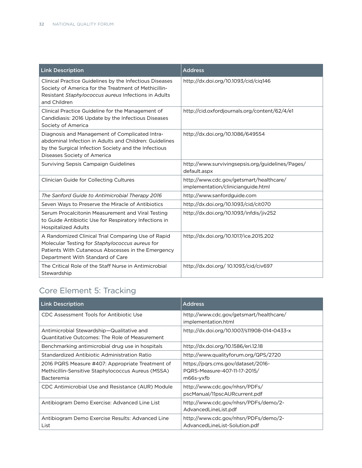| <b>Link Description</b>                                                                                                                                                                         | <b>Address</b>                                                                |
|-------------------------------------------------------------------------------------------------------------------------------------------------------------------------------------------------|-------------------------------------------------------------------------------|
| Clinical Practice Guidelines by the Infectious Diseases<br>Society of America for the Treatment of Methicillin-<br>Resistant Staphylococcus aureus Infections in Adults<br>and Children         | http://dx.doi.org/10.1093/cid/ciq146                                          |
| Clinical Practice Guideline for the Management of<br>Candidiasis: 2016 Update by the Infectious Diseases<br>Society of America                                                                  | http://cid.oxfordjournals.org/content/62/4/e1                                 |
| Diagnosis and Management of Complicated Intra-<br>abdominal Infection in Adults and Children: Guidelines<br>by the Surgical Infection Society and the Infectious<br>Diseases Society of America | http://dx.doi.org/10.1086/649554                                              |
| Surviving Sepsis Campaign Guidelines                                                                                                                                                            | http://www.survivingsepsis.org/guidelines/Pages/<br>default.aspx              |
| Clinician Guide for Collecting Cultures                                                                                                                                                         | http://www.cdc.gov/getsmart/healthcare/<br>implementation/clinicianguide.html |
| The Sanford Guide to Antimicrobial Therapy 2016                                                                                                                                                 | http://www.sanfordguide.com                                                   |
| Seven Ways to Preserve the Miracle of Antibiotics                                                                                                                                               | http://dx.doi.org/10.1093/cid/cit070                                          |
| Serum Procalcitonin Measurement and Viral Testing<br>to Guide Antibiotic Use for Respiratory Infections in<br><b>Hospitalized Adults</b>                                                        | http://dx.doi.org/10.1093/infdis/jiv252                                       |
| A Randomized Clinical Trial Comparing Use of Rapid<br>Molecular Testing for Staphylococcus aureus for<br>Patients With Cutaneous Abscesses in the Emergency<br>Department With Standard of Care | http://dx.doi.org/10.1017/ice.2015.202                                        |
| The Critical Role of the Staff Nurse in Antimicrobial<br>Stewardship                                                                                                                            | http://dx.doi.org/ 10.1093/cid/civ697                                         |

## Core Element 5: Tracking

| <b>Link Description</b>                                                                                              | <b>Address</b>                                                                  |
|----------------------------------------------------------------------------------------------------------------------|---------------------------------------------------------------------------------|
| CDC Assessment Tools for Antibiotic Use                                                                              | http://www.cdc.gov/getsmart/healthcare/<br>implementation.html                  |
| Antimicrobial Stewardship-Qualitative and<br>Quantitative Outcomes: The Role of Measurement                          | http://dx.doi.org/10.1007/s11908-014-0433-x                                     |
| Benchmarking antimicrobial drug use in hospitals                                                                     | http://dx.doi.org/10.1586/eri.12.18                                             |
| Standardized Antibiotic Administration Ratio                                                                         | http://www.qualityforum.org/QPS/2720                                            |
| 2016 PQRS Measure #407: Appropriate Treatment of<br>Methicillin-Sensitive Staphylococcus Aureus (MSSA)<br>Bacteremia | https://pqrs.cms.gov/dataset/2016-<br>PQRS-Measure-407-11-17-2015/<br>m66s-yxfb |
| CDC Antimicrobial Use and Resistance (AUR) Module                                                                    | http://www.cdc.gov/nhsn/PDFs/<br>pscManual/11pscAURcurrent.pdf                  |
| Antibiogram Demo Exercise: Advanced Line List                                                                        | http://www.cdc.gov/nhsn/PDFs/demo/2-<br>AdvancedLineList.pdf                    |
| Antibiogram Demo Exercise Results: Advanced Line<br>List                                                             | http://www.cdc.gov/nhsn/PDFs/demo/2-<br>AdvancedLineList-Solution.pdf           |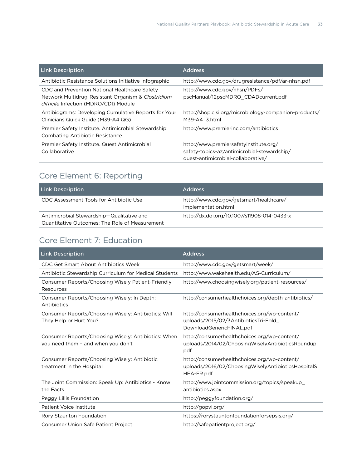| <b>Link Description</b>                                                                                                                      | <b>Address</b>                                                                                                              |
|----------------------------------------------------------------------------------------------------------------------------------------------|-----------------------------------------------------------------------------------------------------------------------------|
| Antibiotic Resistance Solutions Initiative Infographic                                                                                       | http://www.cdc.gov/drugresistance/pdf/ar-nhsn.pdf                                                                           |
| CDC and Prevention National Healthcare Safety<br>Network Multidrug-Resistant Organism & Clostridium<br>difficile Infection (MDRO/CDI) Module | http://www.cdc.gov/nhsn/PDFs/<br>pscManual/12pscMDRO CDADcurrent.pdf                                                        |
| Antibiograms: Developing Cumulative Reports for Your<br>Clinicians Quick Guide (M39-A4 QG)                                                   | http://shop.clsi.org/microbiology-companion-products/<br>M39-A4 3.html                                                      |
| Premier Safety Institute. Antimicrobial Stewardship:<br><b>Combating Antibiotic Resistance</b>                                               | http://www.premierinc.com/antibiotics                                                                                       |
| Premier Safety Institute. Quest Antimicrobial<br>Collaborative                                                                               | http://www.premiersafetyinstitute.org/<br>safety-topics-az/antimicrobial-stewardship/<br>quest-antimicrobial-collaborative/ |

## Core Element 6: Reporting

| <b>Link Description</b>                                                                     | <b>Address</b>                                                 |
|---------------------------------------------------------------------------------------------|----------------------------------------------------------------|
| CDC Assessment Tools for Antibiotic Use                                                     | http://www.cdc.gov/getsmart/healthcare/<br>implementation.html |
| Antimicrobial Stewardship-Qualitative and<br>Quantitative Outcomes: The Role of Measurement | http://dx.doi.org/10.1007/s11908-014-0433-x                    |

## Core Element 7: Education

| <b>Link Description</b>                                                                   | <b>Address</b>                                                                                                       |
|-------------------------------------------------------------------------------------------|----------------------------------------------------------------------------------------------------------------------|
| CDC Get Smart About Antibiotics Week                                                      | http://www.cdc.gov/getsmart/week/                                                                                    |
| Antibiotic Stewardship Curriculum for Medical Students                                    | http://www.wakehealth.edu/AS-Curriculum/                                                                             |
| Consumer Reports/Choosing Wisely Patient-Friendly<br>Resources                            | http://www.choosingwisely.org/patient-resources/                                                                     |
| Consumer Reports/Choosing Wisely: In Depth:<br>Antibiotics                                | http://consumerhealthchoices.org/depth-antibiotics/                                                                  |
| Consumer Reports/Choosing Wisely: Antibiotics: Will<br>They Help or Hurt You?             | http://consumerhealthchoices.org/wp-content/<br>uploads/2015/02/3AntibioticsTri-Fold<br>DownloadGenericFINAL.pdf     |
| Consumer Reports/Choosing Wisely: Antibiotics: When<br>you need them - and when you don't | http://consumerhealthchoices.org/wp-content/<br>uploads/2014/02/ChoosingWiselyAntibioticsRoundup.<br>pdf             |
| Consumer Reports/Choosing Wisely: Antibiotic<br>treatment in the Hospital                 | http://consumerhealthchoices.org/wp-content/<br>uploads/2016/02/Choosing Wisely Antibiotics Hospital S<br>HEA-ER.pdf |
| The Joint Commission: Speak Up: Antibiotics - Know<br>the Facts                           | http://www.jointcommission.org/topics/speakup_<br>antibiotics.aspx                                                   |
| Peggy Lillis Foundation                                                                   | http://peggyfoundation.org/                                                                                          |
| Patient Voice Institute                                                                   | http://gopvi.org/                                                                                                    |
| Rory Staunton Foundation                                                                  | https://rorystauntonfoundationforsepsis.org/                                                                         |
| Consumer Union Safe Patient Project                                                       | http://safepatientproject.org/                                                                                       |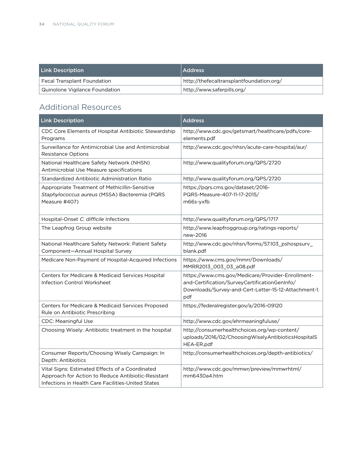| <b>Link Description</b>            | Address                                  |
|------------------------------------|------------------------------------------|
| <b>Fecal Transplant Foundation</b> | http://thefecaltransplantfoundation.org/ |
| Quinolone Vigilance Foundation     | http://www.saferpills.org/               |

## Additional Resources

| <b>Link Description</b>                                                                                                                                     | <b>Address</b>                                                                                                                                                    |
|-------------------------------------------------------------------------------------------------------------------------------------------------------------|-------------------------------------------------------------------------------------------------------------------------------------------------------------------|
| CDC Core Elements of Hospital Antibiotic Stewardship<br>Programs                                                                                            | http://www.cdc.gov/getsmart/healthcare/pdfs/core-<br>elements.pdf                                                                                                 |
| Surveillance for Antimicrobial Use and Antimicrobial<br><b>Resistance Options</b>                                                                           | http://www.cdc.gov/nhsn/acute-care-hospital/aur/                                                                                                                  |
| National Healthcare Safety Network (NHSN)<br>Antimicrobial Use Measure specifications                                                                       | http://www.qualityforum.org/QPS/2720                                                                                                                              |
| Standardized Antibiotic Administration Ratio                                                                                                                | http://www.qualityforum.org/QPS/2720                                                                                                                              |
| Appropriate Treatment of Methicillin-Sensitive<br>Staphylococcus aureus (MSSA) Bacteremia (PQRS<br>Measure #407)                                            | https://pqrs.cms.gov/dataset/2016-<br>PQRS-Measure-407-11-17-2015/<br>m66s-yxfb                                                                                   |
| Hospital-Onset C. difficile Infections                                                                                                                      | http://www.qualityforum.org/QPS/1717                                                                                                                              |
| The Leapfrog Group website                                                                                                                                  | http://www.leapfroggroup.org/ratings-reports/<br>new-2016                                                                                                         |
| National Healthcare Safety Network: Patient Safety<br>Component-Annual Hospital Survey                                                                      | http://www.cdc.gov/nhsn/forms/57.103_pshospsurv_<br>blank.pdf                                                                                                     |
| Medicare Non-Payment of Hospital-Acquired Infections                                                                                                        | https://www.cms.gov/mmrr/Downloads/<br>MMRR2013_003_03_a08.pdf                                                                                                    |
| <b>Centers for Medicare &amp; Medicaid Services Hospital</b><br><b>Infection Control Worksheet</b>                                                          | https://www.cms.gov/Medicare/Provider-Enrollment-<br>and-Certification/SurveyCertificationGenInfo/<br>Downloads/Survey-and-Cert-Letter-15-12-Attachment-1.<br>pdf |
| Centers for Medicare & Medicaid Services Proposed<br>Rule on Antibiotic Prescribing                                                                         | https://federalregister.gov/a/2016-09120                                                                                                                          |
| <b>CDC: Meaningful Use</b>                                                                                                                                  | http://www.cdc.gov/ehrmeaningfuluse/                                                                                                                              |
| Choosing Wisely: Antibiotic treatment in the hospital                                                                                                       | http://consumerhealthchoices.org/wp-content/<br>uploads/2016/02/ChoosingWiselyAntibioticsHospitalS<br>HEA-ER.pdf                                                  |
| Consumer Reports/Choosing Wisely Campaign: In<br>Depth: Antibiotics                                                                                         | http://consumerhealthchoices.org/depth-antibiotics/                                                                                                               |
| Vital Signs: Estimated Effects of a Coordinated<br>Approach for Action to Reduce Antibiotic-Resistant<br>Infections in Health Care Facilities-United States | http://www.cdc.gov/mmwr/preview/mmwrhtml/<br>mm6430a4.htm                                                                                                         |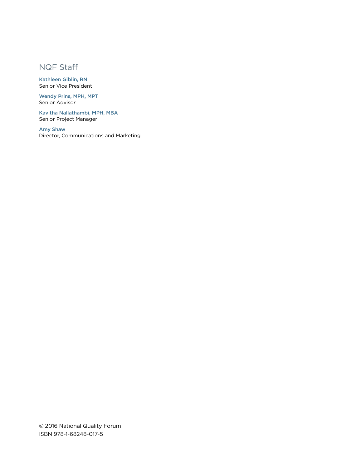## NQF Staff

Kathleen Giblin, RN Senior Vice President

Wendy Prins, MPH, MPT Senior Advisor

Kavitha Nallathambi, MPH, MBA Senior Project Manager

Amy Shaw Director, Communications and Marketing

© 2016 National Quality Forum ISBN 978-1-68248-017-5